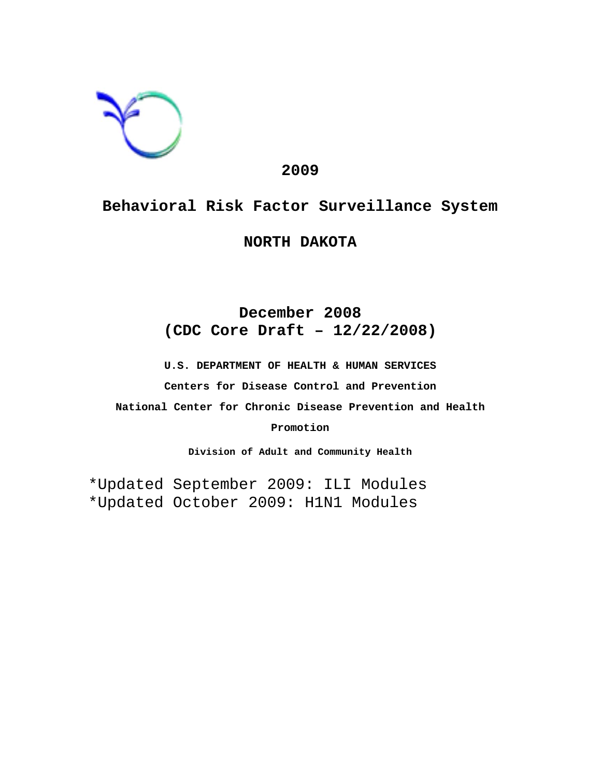

## **2009**

# **Behavioral Risk Factor Surveillance System**

**NORTH DAKOTA**

# **December 2008 (CDC Core Draft – 12/22/2008)**

**U.S. DEPARTMENT OF HEALTH & HUMAN SERVICES Centers for Disease Control and Prevention National Center for Chronic Disease Prevention and Health Promotion**

**Division of Adult and Community Health**

\*Updated September 2009: ILI Modules \*Updated October 2009: H1N1 Modules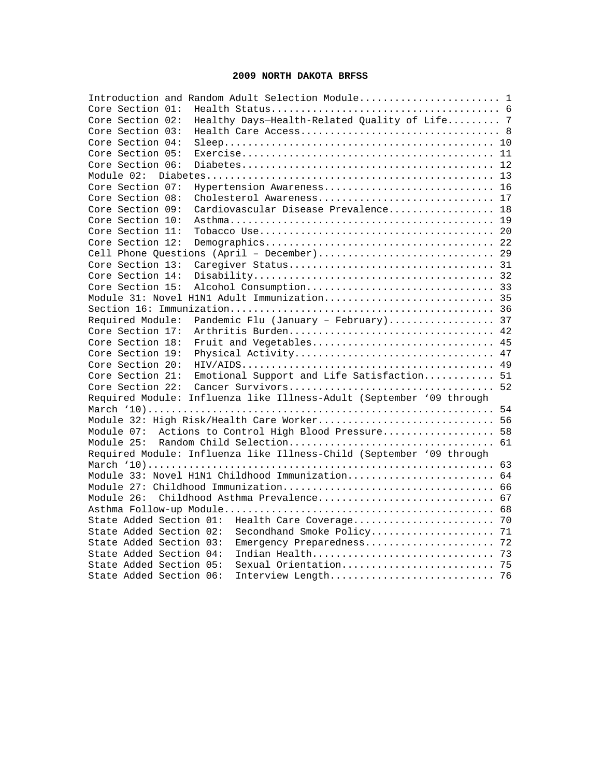### **2009 NORTH DAKOTA BRFSS**

| Healthy Days-Health-Related Quality of Life 7<br>Hypertension Awareness 16<br>Cholesterol Awareness 17<br>Cardiovascular Disease Prevalence 18<br>Module 31: Novel H1N1 Adult Immunization 35<br>Pandemic Flu (January - February) 37<br>Arthritis Burden 42<br>Fruit and Vegetables 45<br>Emotional Support and Life Satisfaction 51<br>Required Module: Influenza like Illness-Adult (September '09 through<br>Module 32: High Risk/Health Care Worker 56<br>Module 07: Actions to Control High Blood Pressure 58<br>61<br>63<br>64<br>67<br>Health Care Coverage 70<br>Secondhand Smoke Policy 71<br>Emergency Preparedness 72<br>Sexual Orientation 75 | Introduction and Random Adult Selection Module 1                     |  |
|------------------------------------------------------------------------------------------------------------------------------------------------------------------------------------------------------------------------------------------------------------------------------------------------------------------------------------------------------------------------------------------------------------------------------------------------------------------------------------------------------------------------------------------------------------------------------------------------------------------------------------------------------------|----------------------------------------------------------------------|--|
|                                                                                                                                                                                                                                                                                                                                                                                                                                                                                                                                                                                                                                                            | Core Section 01:                                                     |  |
|                                                                                                                                                                                                                                                                                                                                                                                                                                                                                                                                                                                                                                                            | Core Section 02:                                                     |  |
|                                                                                                                                                                                                                                                                                                                                                                                                                                                                                                                                                                                                                                                            | Core Section 03:                                                     |  |
|                                                                                                                                                                                                                                                                                                                                                                                                                                                                                                                                                                                                                                                            | Core Section 04:                                                     |  |
|                                                                                                                                                                                                                                                                                                                                                                                                                                                                                                                                                                                                                                                            | Core Section 05:                                                     |  |
|                                                                                                                                                                                                                                                                                                                                                                                                                                                                                                                                                                                                                                                            | Core Section 06:                                                     |  |
|                                                                                                                                                                                                                                                                                                                                                                                                                                                                                                                                                                                                                                                            |                                                                      |  |
|                                                                                                                                                                                                                                                                                                                                                                                                                                                                                                                                                                                                                                                            | Core Section 07:                                                     |  |
|                                                                                                                                                                                                                                                                                                                                                                                                                                                                                                                                                                                                                                                            | Core Section 08:                                                     |  |
|                                                                                                                                                                                                                                                                                                                                                                                                                                                                                                                                                                                                                                                            | Core Section 09:                                                     |  |
|                                                                                                                                                                                                                                                                                                                                                                                                                                                                                                                                                                                                                                                            | Core Section 10:                                                     |  |
|                                                                                                                                                                                                                                                                                                                                                                                                                                                                                                                                                                                                                                                            | Core Section 11:                                                     |  |
|                                                                                                                                                                                                                                                                                                                                                                                                                                                                                                                                                                                                                                                            | Core Section 12:                                                     |  |
|                                                                                                                                                                                                                                                                                                                                                                                                                                                                                                                                                                                                                                                            |                                                                      |  |
|                                                                                                                                                                                                                                                                                                                                                                                                                                                                                                                                                                                                                                                            | Core Section 13:                                                     |  |
|                                                                                                                                                                                                                                                                                                                                                                                                                                                                                                                                                                                                                                                            | Core Section 14:                                                     |  |
|                                                                                                                                                                                                                                                                                                                                                                                                                                                                                                                                                                                                                                                            | Core Section 15:                                                     |  |
|                                                                                                                                                                                                                                                                                                                                                                                                                                                                                                                                                                                                                                                            |                                                                      |  |
|                                                                                                                                                                                                                                                                                                                                                                                                                                                                                                                                                                                                                                                            |                                                                      |  |
|                                                                                                                                                                                                                                                                                                                                                                                                                                                                                                                                                                                                                                                            | Required Module:                                                     |  |
|                                                                                                                                                                                                                                                                                                                                                                                                                                                                                                                                                                                                                                                            | Core Section 17:                                                     |  |
|                                                                                                                                                                                                                                                                                                                                                                                                                                                                                                                                                                                                                                                            | Core Section 18:                                                     |  |
|                                                                                                                                                                                                                                                                                                                                                                                                                                                                                                                                                                                                                                                            | Core Section 19:                                                     |  |
|                                                                                                                                                                                                                                                                                                                                                                                                                                                                                                                                                                                                                                                            | Core Section 20:                                                     |  |
|                                                                                                                                                                                                                                                                                                                                                                                                                                                                                                                                                                                                                                                            | Core Section 21:                                                     |  |
|                                                                                                                                                                                                                                                                                                                                                                                                                                                                                                                                                                                                                                                            | Core Section 22:                                                     |  |
|                                                                                                                                                                                                                                                                                                                                                                                                                                                                                                                                                                                                                                                            |                                                                      |  |
|                                                                                                                                                                                                                                                                                                                                                                                                                                                                                                                                                                                                                                                            |                                                                      |  |
|                                                                                                                                                                                                                                                                                                                                                                                                                                                                                                                                                                                                                                                            |                                                                      |  |
|                                                                                                                                                                                                                                                                                                                                                                                                                                                                                                                                                                                                                                                            |                                                                      |  |
|                                                                                                                                                                                                                                                                                                                                                                                                                                                                                                                                                                                                                                                            |                                                                      |  |
|                                                                                                                                                                                                                                                                                                                                                                                                                                                                                                                                                                                                                                                            | Required Module: Influenza like Illness-Child (September '09 through |  |
|                                                                                                                                                                                                                                                                                                                                                                                                                                                                                                                                                                                                                                                            |                                                                      |  |
|                                                                                                                                                                                                                                                                                                                                                                                                                                                                                                                                                                                                                                                            | Module 33: Novel H1N1 Childhood Immunization                         |  |
|                                                                                                                                                                                                                                                                                                                                                                                                                                                                                                                                                                                                                                                            |                                                                      |  |
|                                                                                                                                                                                                                                                                                                                                                                                                                                                                                                                                                                                                                                                            | Module 26: Childhood Asthma Prevalence                               |  |
|                                                                                                                                                                                                                                                                                                                                                                                                                                                                                                                                                                                                                                                            |                                                                      |  |
|                                                                                                                                                                                                                                                                                                                                                                                                                                                                                                                                                                                                                                                            | State Added Section 01:                                              |  |
|                                                                                                                                                                                                                                                                                                                                                                                                                                                                                                                                                                                                                                                            | State Added Section 02:                                              |  |
|                                                                                                                                                                                                                                                                                                                                                                                                                                                                                                                                                                                                                                                            | State Added Section 03:                                              |  |
|                                                                                                                                                                                                                                                                                                                                                                                                                                                                                                                                                                                                                                                            | State Added Section 04:                                              |  |
|                                                                                                                                                                                                                                                                                                                                                                                                                                                                                                                                                                                                                                                            | State Added Section 05:                                              |  |
|                                                                                                                                                                                                                                                                                                                                                                                                                                                                                                                                                                                                                                                            | Interview Length 76<br>State Added Section 06:                       |  |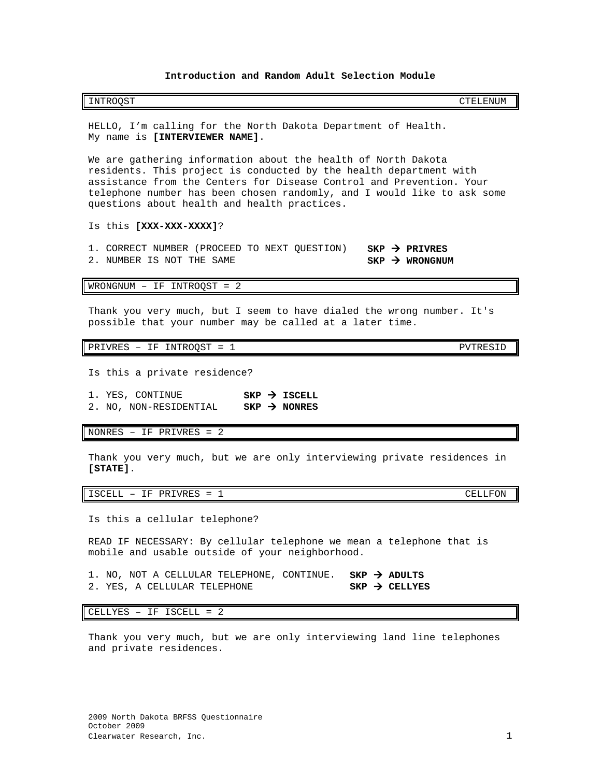### **Introduction and Random Adult Selection Module**

<span id="page-2-0"></span>HELLO, I'm calling for the North Dakota Department of Health. My name is **[INTERVIEWER NAME]**.

We are gathering information about the health of North Dakota residents. This project is conducted by the health department with assistance from the Centers for Disease Control and Prevention. Your telephone number has been chosen randomly, and I would like to ask some questions about health and health practices.

### Is this **[XXX-XXX-XXXX]**?

1. CORRECT NUMBER (PROCEED TO NEXT QUESTION) **SKP > PRIVRES**<br>2. NUMBER IS NOT THE SAME 2. NUMBER IS NOT THE SAME

WRONGNUM – IF INTROQST = 2

Thank you very much, but I seem to have dialed the wrong number. It's possible that your number may be called at a later time.

PRIVRES - IF INTROQST = 1 PVTRESID

Is this a private residence?

1. YES, CONTINUE **SKP > ISCELL**<br>2. NO. NON-RESIDENTIAL **SKP > NONRES** 

2. NO, NON-RESIDENTIAL **SKP NONRES**

NONRES – IF PRIVRES = 2

Thank you very much, but we are only interviewing private residences in **[STATE]**.

ISCELL – IF PRIVRES = 1 CELLFON

Is this a cellular telephone?

READ IF NECESSARY: By cellular telephone we mean a telephone that is mobile and usable outside of your neighborhood.

1. NO, NOT A CELLULAR TELEPHONE, CONTINUE. **SKP > ADULTS**<br>2. YES, A CELLULAR TELEPHONE **SKP > CELLYES** 2. YES, A CELLULAR TELEPHONE

CELLYES – IF ISCELL = 2

Thank you very much, but we are only interviewing land line telephones and private residences.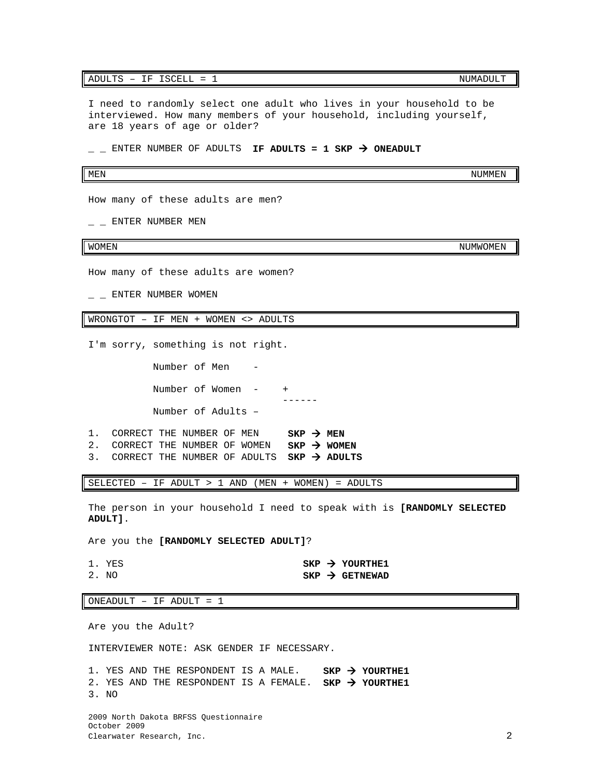### $ADULTS - IF ISCELL = 1$  NUMADULT

I need to randomly select one adult who lives in your household to be interviewed. How many members of your household, including yourself, are 18 years of age or older?

 $\_$   $\_$  ENTER NUMBER OF ADULTS **IF ADULTS = 1 SKP**  $\rightarrow$  **ONEADULT** 

### MEN NUMMEN AND A SERIES OF THE SERIES OF THE SERIES OF THE SERIES OF THE SERIES OF THE SERIES OF THE SERIES OF

How many of these adults are men?

 $-$  ENTER NUMBER MEN

### WOMEN NUMWOMEN AND THE SERVICE OF THE SERVICE OF THE SERVICE OF THE SERVICE OF THE SERVICE OF THE SERVICE OF T

How many of these adults are women?

 $-$  ENTER NUMBER WOMEN

WRONGTOT – IF MEN + WOMEN <> ADULTS

I'm sorry, something is not right.

Number of Men Number of Women - + ------ Number of Adults –

1. CORRECT THE NUMBER OF MEN **SKP > MEN** 2. CORRECT THE NUMBER OF WOMEN  $SKP \rightarrow WOMEN$ 

3. CORRECT THE NUMBER OF ADULTS **SKP ADULTS**

SELECTED – IF ADULT > 1 AND (MEN + WOMEN) = ADULTS

The person in your household I need to speak with is **[RANDOMLY SELECTED ADULT]**.

Are you the **[RANDOMLY SELECTED ADULT]**?

1. YES **SKP YOURTHE1**  $SKP \rightarrow GETNEWAD$ 

ONEADULT – IF ADULT = 1

Are you the Adult?

INTERVIEWER NOTE: ASK GENDER IF NECESSARY.

1. YES AND THE RESPONDENT IS A MALE. **SKP YOURTHE1** 2. YES AND THE RESPONDENT IS A FEMALE. **SKP YOURTHE1** 3. NO

2009 North Dakota BRFSS Questionnaire October 2009 Clearwater Research, Inc. 2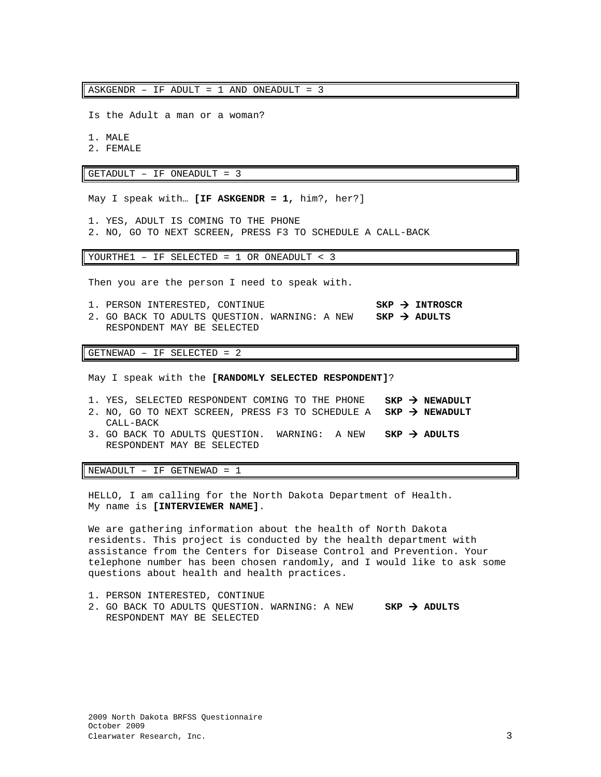ASKGENDR – IF ADULT = 1 AND ONEADULT = 3

Is the Adult a man or a woman?

1. MALE

2. FEMALE

GETADULT – IF ONEADULT = 3

May I speak with… **[IF ASKGENDR = 1,** him?, her?]

1. YES, ADULT IS COMING TO THE PHONE 2. NO, GO TO NEXT SCREEN, PRESS F3 TO SCHEDULE A CALL-BACK

YOURTHE1 – IF SELECTED = 1 OR ONEADULT < 3

Then you are the person I need to speak with.

1. PERSON INTERESTED, CONTINUE **SKP INTROSCR** 2. GO BACK TO ADULTS QUESTION. WARNING: A NEW RESPONDENT MAY BE SELECTED **SKP ADULTS**

GETNEWAD – IF SELECTED = 2

May I speak with the **[RANDOMLY SELECTED RESPONDENT]**?

- 1. YES, SELECTED RESPONDENT COMING TO THE PHONE **SKP NEWADULT**
- 2. NO, GO TO NEXT SCREEN, PRESS F3 TO SCHEDULE A **SKP NEWADULT** CALL-BACK
- 3. GO BACK TO ADULTS QUESTION. WARNING: A NEW RESPONDENT MAY BE SELECTED  $SKP \rightarrow ADULTS$

NEWADULT – IF GETNEWAD = 1

HELLO, I am calling for the North Dakota Department of Health. My name is **[INTERVIEWER NAME]**.

We are gathering information about the health of North Dakota residents. This project is conducted by the health department with assistance from the Centers for Disease Control and Prevention. Your telephone number has been chosen randomly, and I would like to ask some questions about health and health practices.

- 1. PERSON INTERESTED, CONTINUE
- 2. GO BACK TO ADULTS QUESTION. WARNING: A NEW **SKP ADULTS**RESPONDENT MAY BE SELECTED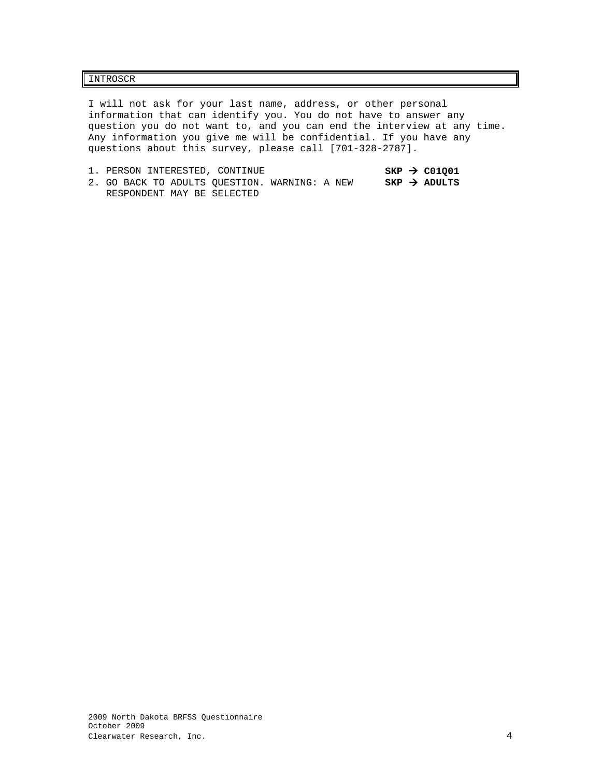### INTROSCR

I will not ask for your last name, address, or other personal information that can identify you. You do not have to answer any question you do not want to, and you can end the interview at any time. Any information you give me will be confidential. If you have any questions about this survey, please call [701-328-2787].

| 1. PERSON INTERESTED, CONTINUE                |  |  |  | $SKP \rightarrow CO1Q01$ |
|-----------------------------------------------|--|--|--|--------------------------|
| 2. GO BACK TO ADULTS OUESTION. WARNING: A NEW |  |  |  | $SKP \rightarrow ADULTS$ |
| RESPONDENT MAY BE SELECTED                    |  |  |  |                          |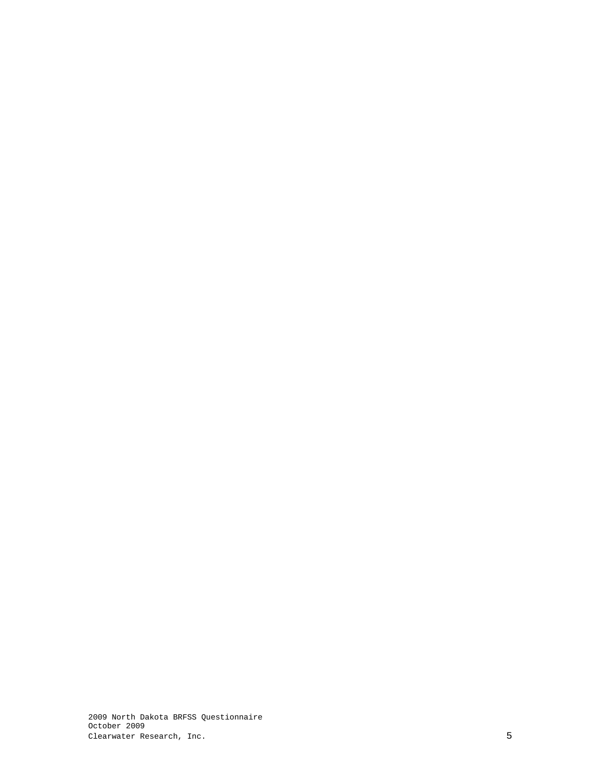2009 North Dakota BRFSS Questionnaire October 2009 Clearwater Research, Inc.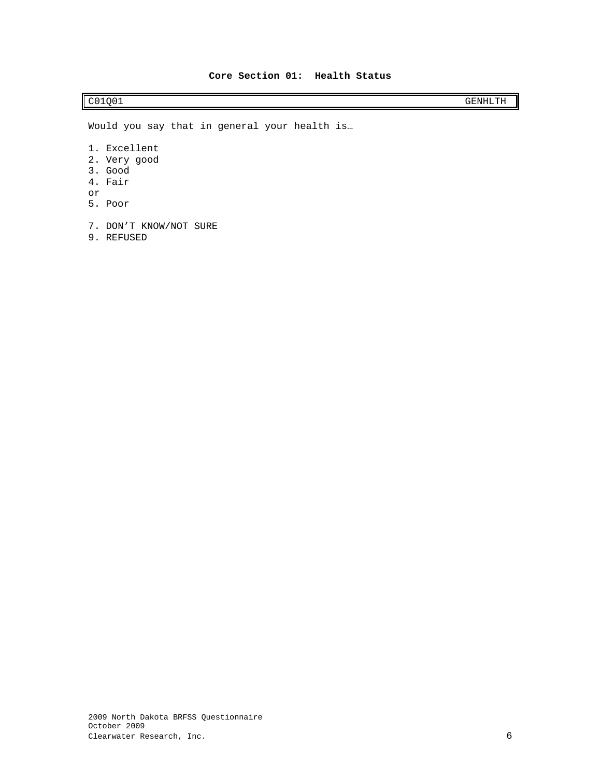<span id="page-7-0"></span>C01Q01 GENHLTH

Would you say that in general your health is…

1. Excellent 2. Very good

- 3. Good
- 4. Fair
- or
- 
- 5. Poor
- 7. DON'T KNOW/NOT SURE
- 9. REFUSED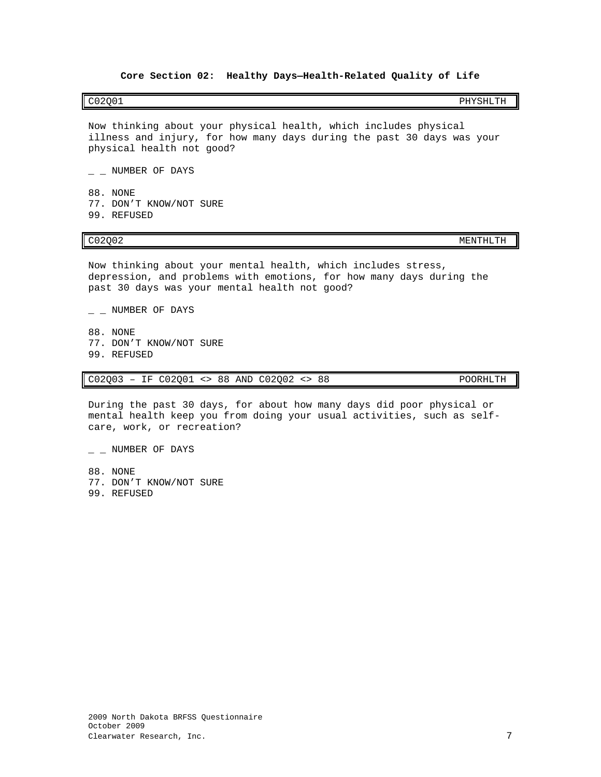### **Core Section 02: Healthy Days—Health-Related Quality of Life**

<span id="page-8-0"></span>C02Q01 PHYSHLTH

Now thinking about your physical health, which includes physical illness and injury, for how many days during the past 30 days was your physical health not good?

 $-$  NUMBER OF DAYS

88. NONE 77. DON'T KNOW/NOT SURE 99. REFUSED

C02Q02 MENTHLTH

Now thinking about your mental health, which includes stress, depression, and problems with emotions, for how many days during the past 30 days was your mental health not good?

 $-$  NUMBER OF DAYS

88. NONE 77. DON'T KNOW/NOT SURE 99. REFUSED

C02Q03 – IF C02Q01 <> 88 AND C02Q02 <> 88 POORHLTH

During the past 30 days, for about how many days did poor physical or mental health keep you from doing your usual activities, such as selfcare, work, or recreation?

 $-$  NUMBER OF DAYS

88. NONE 77. DON'T KNOW/NOT SURE 99. REFUSED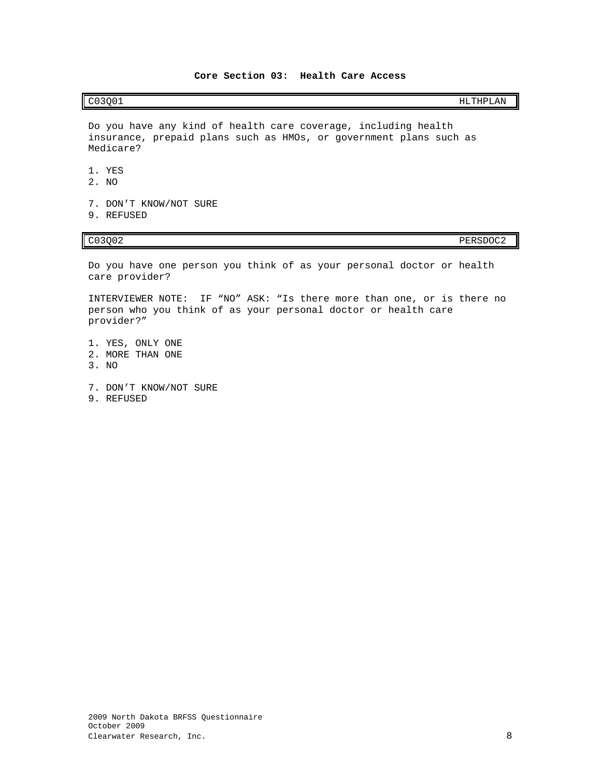### **Core Section 03: Health Care Access**

<span id="page-9-0"></span>C03Q01 HLTHPLAN

Do you have any kind of health care coverage, including health insurance, prepaid plans such as HMOs, or government plans such as Medicare?

1. YES

- 2. NO
- 7. DON'T KNOW/NOT SURE
- 9. REFUSED

C03Q02 PERSDOC2

Do you have one person you think of as your personal doctor or health care provider?

INTERVIEWER NOTE: IF "NO" ASK: "Is there more than one, or is there no person who you think of as your personal doctor or health care provider?"

1. YES, ONLY ONE 2. MORE THAN ONE 3. NO

- 7. DON'T KNOW/NOT SURE
- 9. REFUSED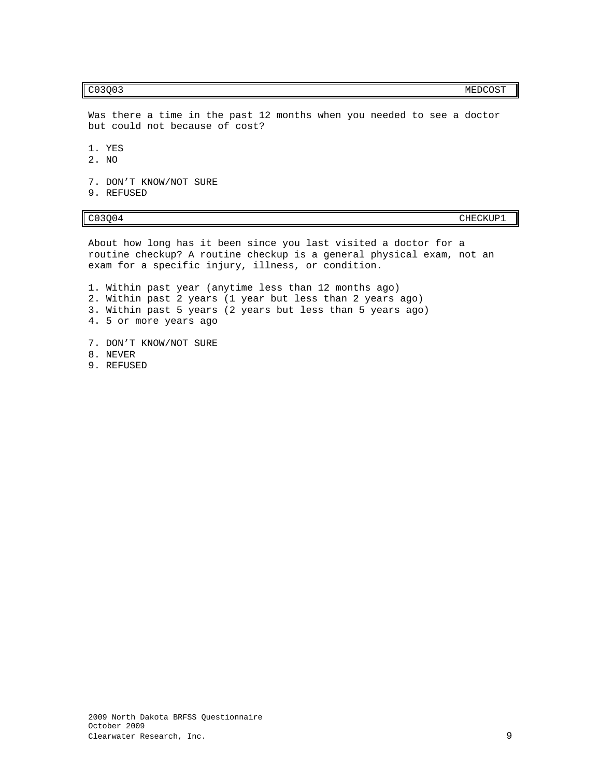c03Q03 MEDCOST

Was there a time in the past 12 months when you needed to see a doctor but could not because of cost?

1. YES

- 2. NO
- 7. DON'T KNOW/NOT SURE 9. REFUSED

CO3Q04 CHECKUP1

About how long has it been since you last visited a doctor for a routine checkup? A routine checkup is a general physical exam, not an exam for a specific injury, illness, or condition.

1. Within past year (anytime less than 12 months ago) 2. Within past 2 years (1 year but less than 2 years ago) 3. Within past 5 years (2 years but less than 5 years ago) 4. 5 or more years ago

7. DON'T KNOW/NOT SURE 8. NEVER 9. REFUSED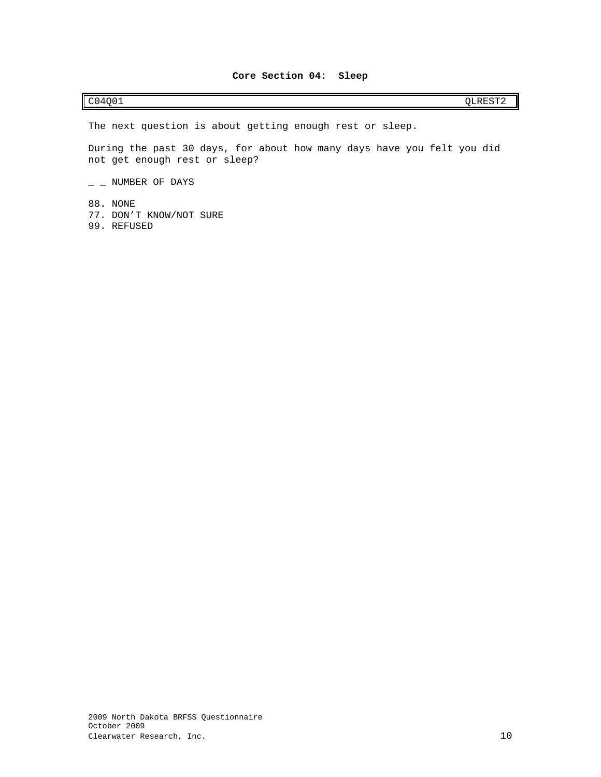<span id="page-11-0"></span>The next question is about getting enough rest or sleep.

During the past 30 days, for about how many days have you felt you did not get enough rest or sleep?

 $-$  NUMBER OF DAYS

- 88. NONE
- 77. DON'T KNOW/NOT SURE
- 99. REFUSED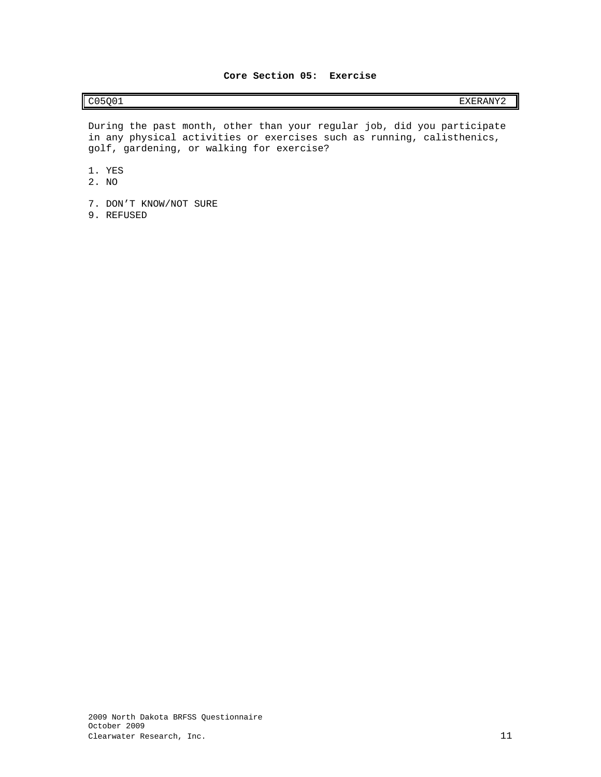<span id="page-12-0"></span>

C05Q01 EXERANY2

During the past month, other than your regular job, did you participate in any physical activities or exercises such as running, calisthenics, golf, gardening, or walking for exercise?

1. YES

- 2. NO
- 7. DON'T KNOW/NOT SURE
- 9. REFUSED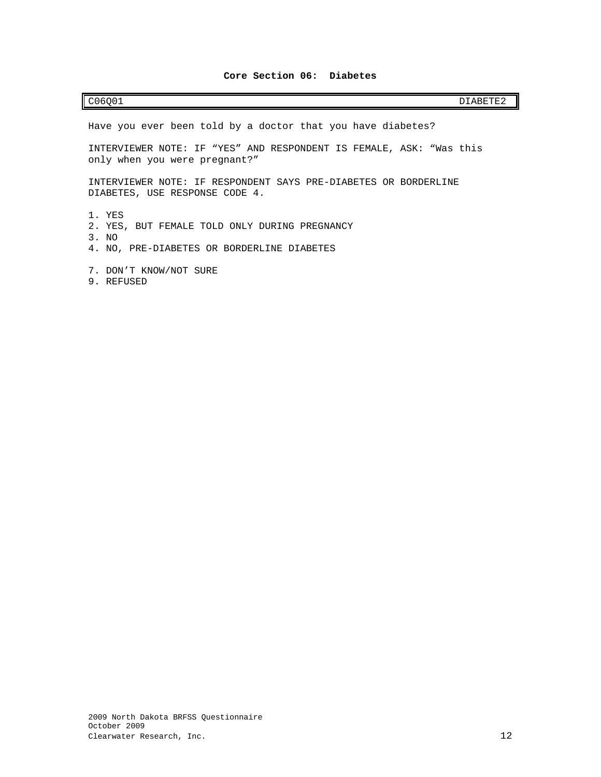### **Core Section 06: Diabetes**

<span id="page-13-0"></span>C06Q01 DIABETE2

Have you ever been told by a doctor that you have diabetes? INTERVIEWER NOTE: IF "YES" AND RESPONDENT IS FEMALE, ASK: "Was this

INTERVIEWER NOTE: IF RESPONDENT SAYS PRE-DIABETES OR BORDERLINE DIABETES, USE RESPONSE CODE 4.

- 1. YES
- 2. YES, BUT FEMALE TOLD ONLY DURING PREGNANCY
- 3. NO
- 4. NO, PRE-DIABETES OR BORDERLINE DIABETES
- 7. DON'T KNOW/NOT SURE

only when you were pregnant?"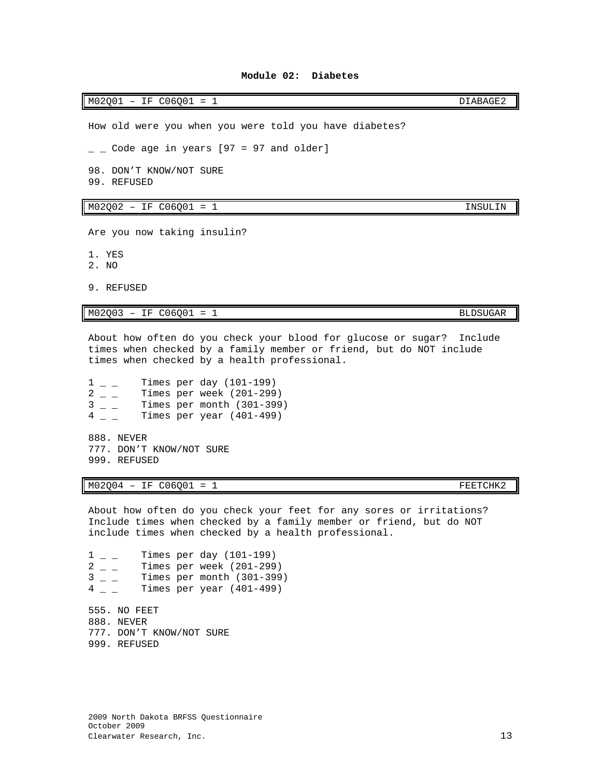How old were you when you were told you have diabetes?

 $\_$  Code age in years [97 = 97 and older]

98. DON'T KNOW/NOT SURE 99. REFUSED

 $M02Q02 - IF C06Q01 = 1$  INSULIN

Are you now taking insulin?

1. YES

- 2. NO
- 9. REFUSED

M02Q03 - IF C06Q01 = 1 BLDSUGAR

About how often do you check your blood for glucose or sugar? Include times when checked by a family member or friend, but do NOT include times when checked by a health professional.

 $1 -$  Times per day (101-199)<br>2  $-$  Times per week (201-299  $2$   $\_$  Times per week (201-299)<br>3  $\_$  Times per month (301-399  $3 -$  Times per month (301-399)<br>4  $-$  Times per year (401-499) Times per year (401-499)

888. NEVER 777. DON'T KNOW/NOT SURE 999. REFUSED

 $M02Q04 - IF CO6Q01 = 1$  FEETCHK2

About how often do you check your feet for any sores or irritations? Include times when checked by a family member or friend, but do NOT include times when checked by a health professional.

 $1 -$  Times per day (101-199)<br>2  $-$  Times per week (201-299  $2$   $_{-}$   $_{-}$  Times per week (201-299)<br>3  $_{-}$  Times per month (301-399  $3 -$  Times per month (301-399)<br> $4 -$  Times per year (401-499) Times per year (401-499)

555. NO FEET 888. NEVER 777. DON'T KNOW/NOT SURE 999. REFUSED

<span id="page-14-0"></span>M02Q01 – IF C06Q01 = 1 DIABAGE2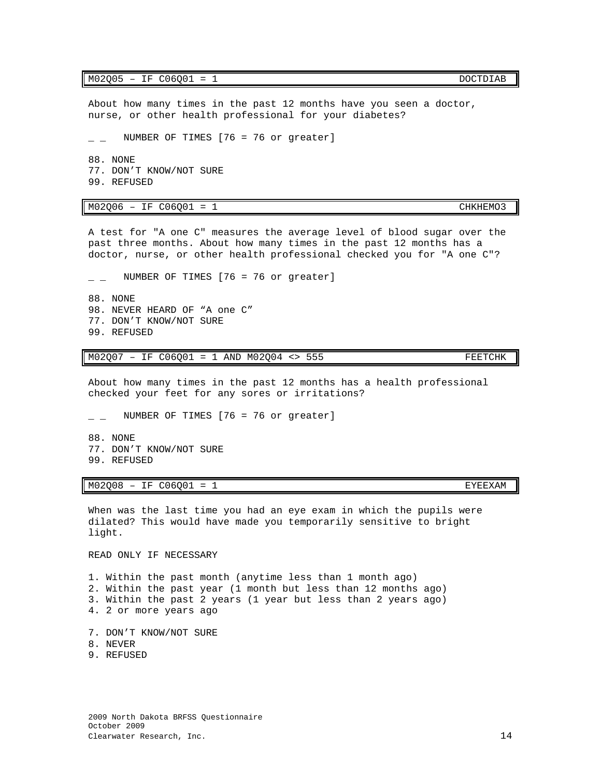M02Q05 – IF C06Q01 = 1 DOCTDIAB

About how many times in the past 12 months have you seen a doctor, nurse, or other health professional for your diabetes?

 $\angle$  \_ NUMBER OF TIMES [76 = 76 or greater]

88. NONE 77. DON'T KNOW/NOT SURE 99. REFUSED

 $M02Q06 - IF CO6Q01 = 1$  CHKHEMO3

A test for "A one C" measures the average level of blood sugar over the past three months. About how many times in the past 12 months has a doctor, nurse, or other health professional checked you for "A one C"?

NUMBER OF TIMES  $[76 = 76$  or greater]

88. NONE 98. NEVER HEARD OF "A one C" 77. DON'T KNOW/NOT SURE 99. REFUSED

M02Q07 - IF C06Q01 = 1 AND M02Q04 <> 555 FEETCHK

About how many times in the past 12 months has a health professional checked your feet for any sores or irritations?

 $\_$  NUMBER OF TIMES [76 = 76 or greater]

88. NONE 77. DON'T KNOW/NOT SURE 99. REFUSED

 $M02Q08 - IF CO6Q01 = 1$  EYEEXAM

When was the last time you had an eye exam in which the pupils were dilated? This would have made you temporarily sensitive to bright light.

READ ONLY IF NECESSARY

1. Within the past month (anytime less than 1 month ago) 2. Within the past year (1 month but less than 12 months ago) 3. Within the past 2 years (1 year but less than 2 years ago) 4. 2 or more years ago

- 7. DON'T KNOW/NOT SURE
- 8. NEVER
- 9. REFUSED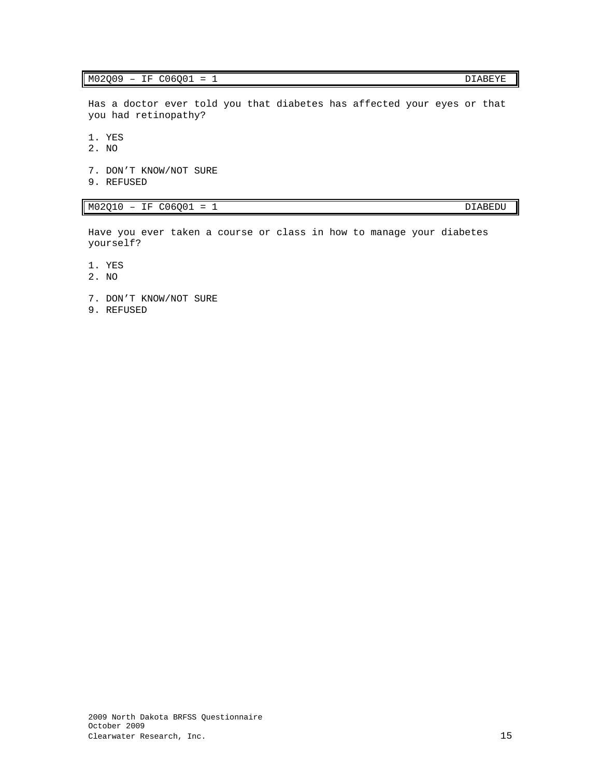M02Q09 - IF C06Q01 = 1 DIABEYE

Has a doctor ever told you that diabetes has affected your eyes or that you had retinopathy?

- 1. YES
- 2. NO
- 7. DON'T KNOW/NOT SURE
- 9. REFUSED

M02Q10 - IF C06Q01 = 1 DIABEDU

Have you ever taken a course or class in how to manage your diabetes yourself?

- 1. YES
- 2. NO
- 7. DON'T KNOW/NOT SURE
- 9. REFUSED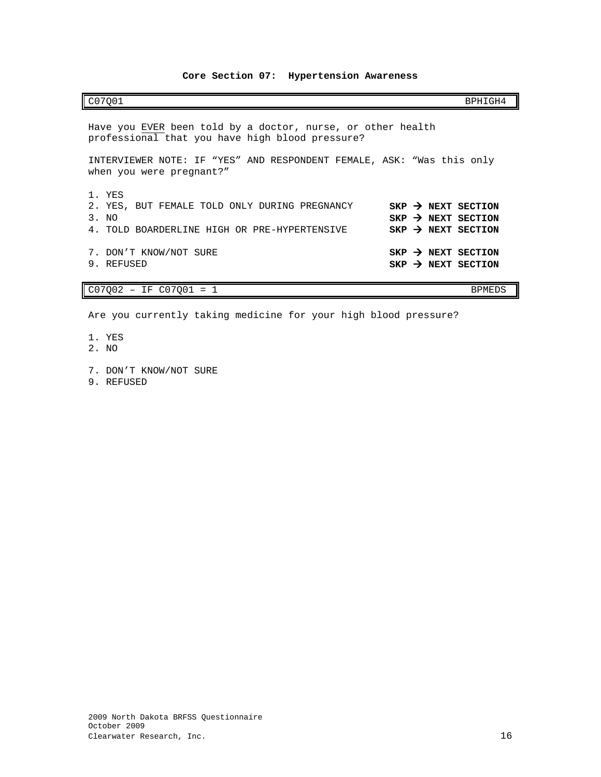### **Core Section 07: Hypertension Awareness**

<span id="page-17-0"></span>

| C07001                                                                                                           | BPHIGH4                                                                                                |  |  |  |  |
|------------------------------------------------------------------------------------------------------------------|--------------------------------------------------------------------------------------------------------|--|--|--|--|
| Have you EVER been told by a doctor, nurse, or other health<br>professional that you have high blood pressure?   |                                                                                                        |  |  |  |  |
| INTERVIEWER NOTE: IF "YES" AND RESPONDENT FEMALE, ASK: "Was this only<br>when you were pregnant?"                |                                                                                                        |  |  |  |  |
| 1. YES<br>2. YES, BUT FEMALE TOLD ONLY DURING PREGNANCY<br>3. NO<br>4. TOLD BOARDERLINE HIGH OR PRE-HYPERTENSIVE | $SKP$ $\rightarrow$ NEXT SECTION<br>$SKP \rightarrow NEXT$ SECTION<br>$SKP$ $\rightarrow$ NEXT SECTION |  |  |  |  |
| 7. DON'T KNOW/NOT SURE<br>9. REFUSED                                                                             | $SKP$ $\rightarrow$ NEXT SECTION<br>$SKP$ $\rightarrow$ NEXT SECTION                                   |  |  |  |  |
| $C07Q02 - IF C07Q01 = 1$                                                                                         | <b>BPMEDS</b>                                                                                          |  |  |  |  |

Are you currently taking medicine for your high blood pressure?

- 1. YES
- 2. NO
- 7. DON'T KNOW/NOT SURE
- 9. REFUSED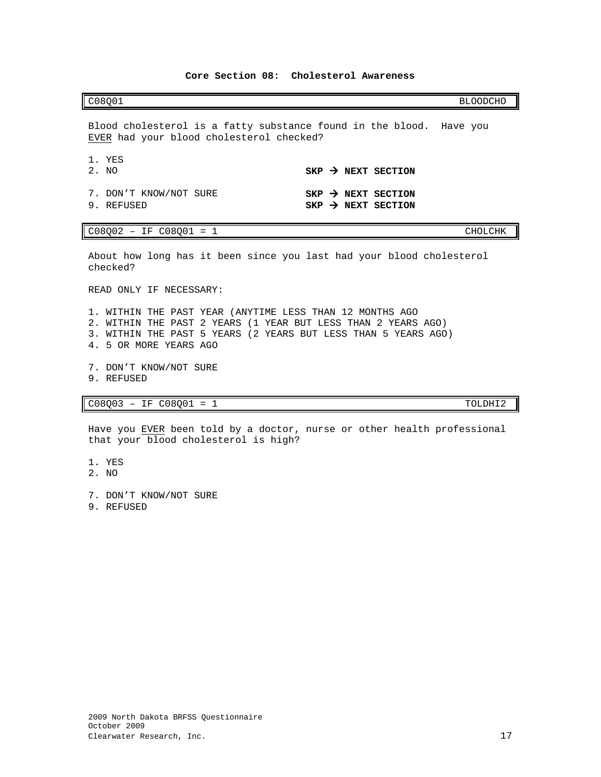### **Core Section 08: Cholesterol Awareness**

<span id="page-18-0"></span>C08Q01 BLOODCHO

Blood cholesterol is a fatty substance found in the blood. Have you EVER had your blood cholesterol checked?

| 1. YES<br>2. NO                      |  | $SKP$ $\rightarrow$ NEXT SECTION                                     |
|--------------------------------------|--|----------------------------------------------------------------------|
| 7. DON'T KNOW/NOT SURE<br>9. REFUSED |  | $SKP$ $\rightarrow$ NEXT SECTION<br>$SKP$ $\rightarrow$ NEXT SECTION |

### $C08Q02 - IF C08Q01 = 1$  CHOLCHK

About how long has it been since you last had your blood cholesterol checked?

READ ONLY IF NECESSARY:

1. WITHIN THE PAST YEAR (ANYTIME LESS THAN 12 MONTHS AGO 2. WITHIN THE PAST 2 YEARS (1 YEAR BUT LESS THAN 2 YEARS AGO) 3. WITHIN THE PAST 5 YEARS (2 YEARS BUT LESS THAN 5 YEARS AGO) 4. 5 OR MORE YEARS AGO

7. DON'T KNOW/NOT SURE 9. REFUSED

 $C08Q03 - IF C08Q01 = 1$  TOLDHI2

Have you EVER been told by a doctor, nurse or other health professional that your blood cholesterol is high?

- 1. YES
- 2. NO
- 7. DON'T KNOW/NOT SURE
- 9. REFUSED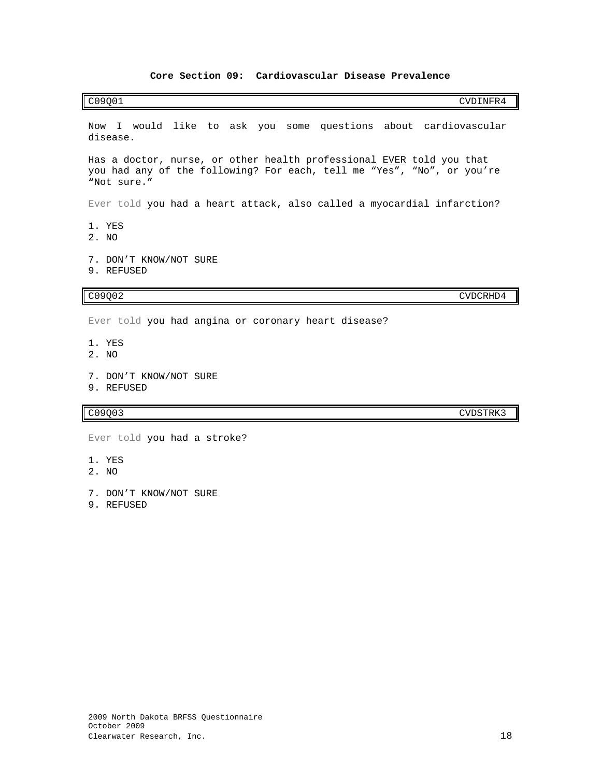### **Core Section 09: Cardiovascular Disease Prevalence**

### <span id="page-19-0"></span>C09Q01 CVDINFR4

Now I would like to ask you some questions about cardiovascular disease.

Has a doctor, nurse, or other health professional EVER told you that you had any of the following? For each, tell me "Yes", "No", or you're "Not sure."

Ever told you had a heart attack, also called a myocardial infarction?

- 1. YES
- 2. NO
- 7. DON'T KNOW/NOT SURE
- 9. REFUSED

C09Q02 CVDCRHD4

Ever told you had angina or coronary heart disease?

- 1. YES
- 2. NO
- 7. DON'T KNOW/NOT SURE
- 9. REFUSED

C09Q03 CVDSTRK3

Ever told you had a stroke?

- 1. YES
- 2. NO
- 7. DON'T KNOW/NOT SURE
- 9. REFUSED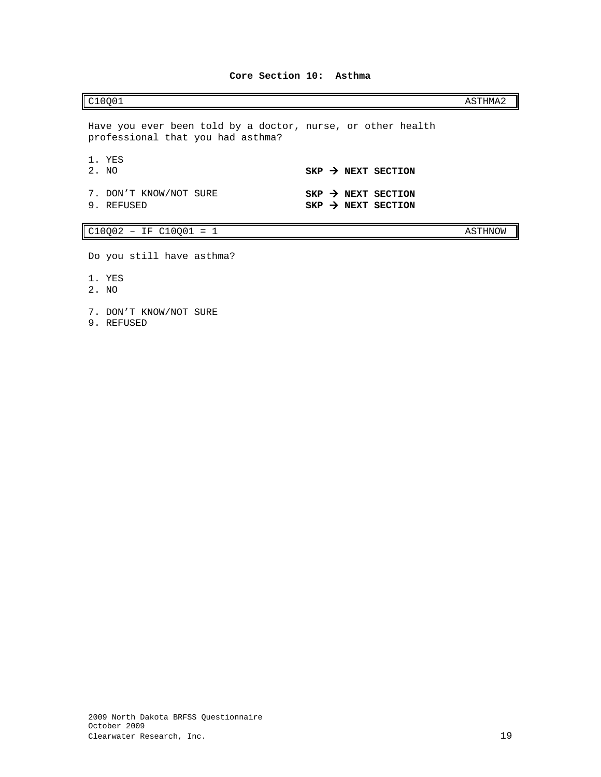<span id="page-20-0"></span> $C10Q01$  and  $C10Q01$ 

Have you ever been told by a doctor, nurse, or other health professional that you had asthma?

| 1. YES<br>2. NO                      | $SKP$ $\rightarrow$ NEXT SECTION                                     |  |
|--------------------------------------|----------------------------------------------------------------------|--|
| 7. DON'T KNOW/NOT SURE<br>9. REFUSED | $SKP$ $\rightarrow$ NEXT SECTION<br>$SKP$ $\rightarrow$ NEXT SECTION |  |

### $C10Q02 - IF C10Q01 = 1$  ASTHNOW

Do you still have asthma?

- 1. YES
- 2. NO
- 7. DON'T KNOW/NOT SURE
- 9. REFUSED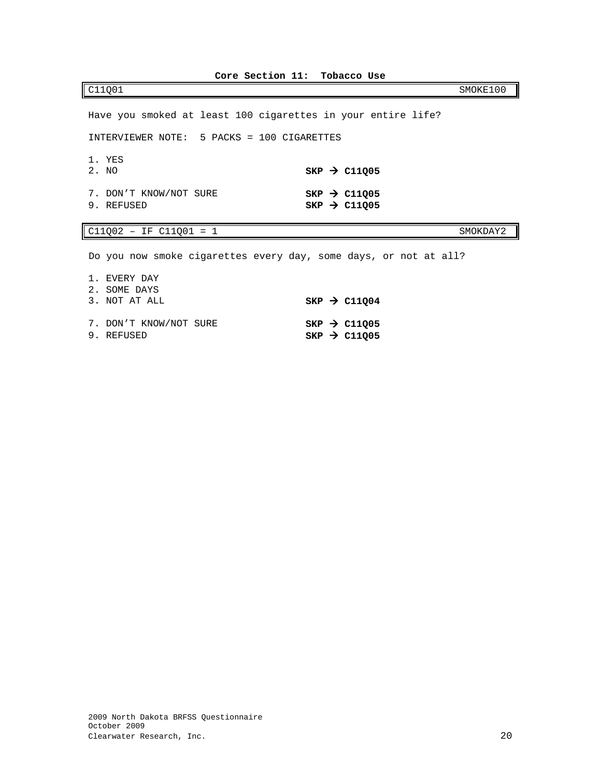<span id="page-21-0"></span>C11Q01 SMOKE100 Have you smoked at least 100 cigarettes in your entire life? INTERVIEWER NOTE: 5 PACKS = 100 CIGARETTES 1. YES<br>2. NO  $SKP \rightarrow C11Q05$ 7. DON'T KNOW/NOT SURE **SKP → C11Q05**<br>
9. REFUSED **SKP → C11Q05**  $SKP$   $\rightarrow$  C11Q05  $C11Q02 - IF C11Q01 = 1$  SMOKDAY2

Do you now smoke cigarettes every day, some days, or not at all?

| 1. EVERY DAY                         |  |                                                        |
|--------------------------------------|--|--------------------------------------------------------|
| 2. SOME DAYS                         |  |                                                        |
| 3. NOT AT ALL                        |  | $SKP \rightarrow C11004$                               |
| 7. DON'T KNOW/NOT SURE<br>9. REFUSED |  | $SKP \rightarrow C11005$<br>$SKP$ $\rightarrow$ C11005 |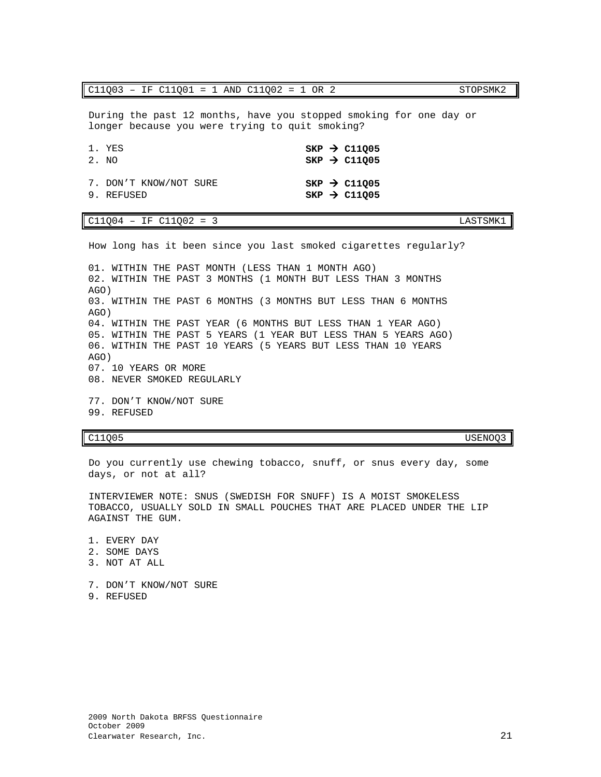C11Q03 – IF C11Q01 = 1 AND C11Q02 = 1 OR 2 STOPSMK2

During the past 12 months, have you stopped smoking for one day or longer because you were trying to quit smoking?

| 1. YES<br>2. NO                      |  | $SKP$ $\rightarrow$ C11005<br>SKP $\rightarrow$ C11005 |
|--------------------------------------|--|--------------------------------------------------------|
| 7. DON'T KNOW/NOT SURE<br>9. REFUSED |  | $SKP \rightarrow C11005$<br>SKP $\rightarrow$ C11005   |

### C11Q04 – IF C11Q02 = 3 LASTSMK1

How long has it been since you last smoked cigarettes regularly?

01. WITHIN THE PAST MONTH (LESS THAN 1 MONTH AGO) 02. WITHIN THE PAST 3 MONTHS (1 MONTH BUT LESS THAN 3 MONTHS AGO) 03. WITHIN THE PAST 6 MONTHS (3 MONTHS BUT LESS THAN 6 MONTHS AGO) 04. WITHIN THE PAST YEAR (6 MONTHS BUT LESS THAN 1 YEAR AGO) 05. WITHIN THE PAST 5 YEARS (1 YEAR BUT LESS THAN 5 YEARS AGO) 06. WITHIN THE PAST 10 YEARS (5 YEARS BUT LESS THAN 10 YEARS AGO) 07. 10 YEARS OR MORE 08. NEVER SMOKED REGULARLY 77. DON'T KNOW/NOT SURE 99. REFUSED

### $C11Q05$  USENOQ3

Do you currently use chewing tobacco, snuff, or snus every day, some days, or not at all?

INTERVIEWER NOTE: SNUS (SWEDISH FOR SNUFF) IS A MOIST SMOKELESS TOBACCO, USUALLY SOLD IN SMALL POUCHES THAT ARE PLACED UNDER THE LIP AGAINST THE GUM.

- 1. EVERY DAY 2. SOME DAYS 3. NOT AT ALL
- 7. DON'T KNOW/NOT SURE 9. REFUSED
-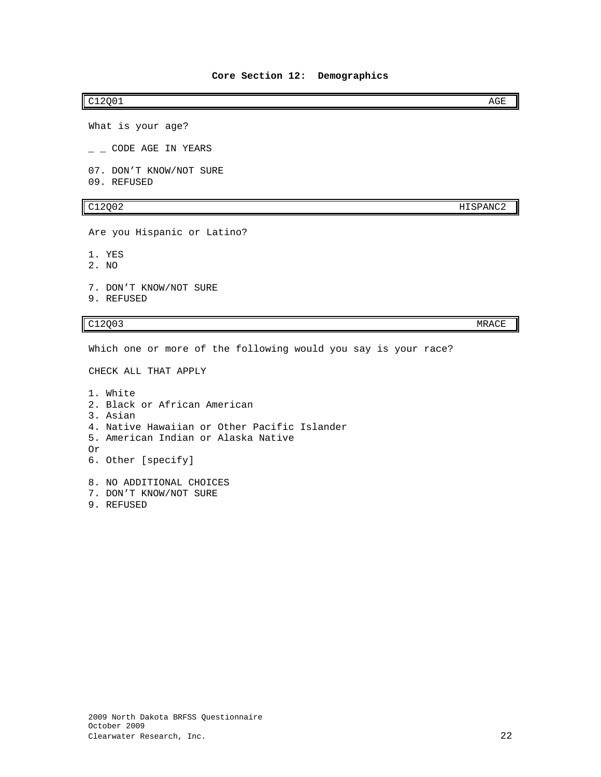### <span id="page-23-0"></span> $C12Q01$  and  $C12Q01$

What is your age?

 $\_$   $\_$  CODE AGE IN YEARS

07. DON'T KNOW/NOT SURE 09. REFUSED

Are you Hispanic or Latino?

1. YES

- 2. NO
- 7. DON'T KNOW/NOT SURE
- 9. REFUSED

C12Q03 MRACE

Which one or more of the following would you say is your race?

CHECK ALL THAT APPLY

1. White 2. Black or African American 3. Asian 4. Native Hawaiian or Other Pacific Islander 5. American Indian or Alaska Native Or 6. Other [specify] 8. NO ADDITIONAL CHOICES 7. DON'T KNOW/NOT SURE

9. REFUSED

C12Q02 HISPANC2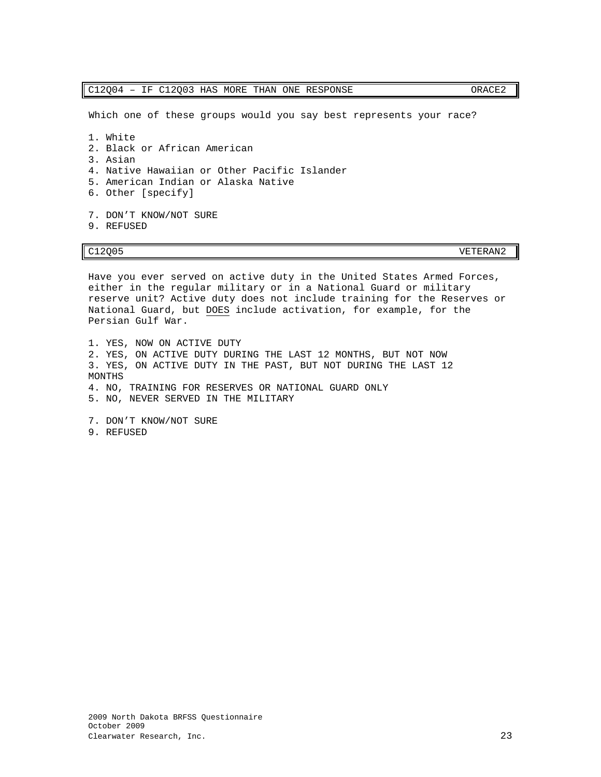C12Q04 – IF C12Q03 HAS MORE THAN ONE RESPONSE ORACE2

Which one of these groups would you say best represents your race?

1. White 2. Black or African American 3. Asian 4. Native Hawaiian or Other Pacific Islander 5. American Indian or Alaska Native 6. Other [specify] 7. DON'T KNOW/NOT SURE 9. REFUSED

C12Q05 VETERAN2

Have you ever served on active duty in the United States Armed Forces, either in the regular military or in a National Guard or military reserve unit? Active duty does not include training for the Reserves or National Guard, but DOES include activation, for example, for the Persian Gulf War.

1. YES, NOW ON ACTIVE DUTY 2. YES, ON ACTIVE DUTY DURING THE LAST 12 MONTHS, BUT NOT NOW 3. YES, ON ACTIVE DUTY IN THE PAST, BUT NOT DURING THE LAST 12 MONTHS 4. NO, TRAINING FOR RESERVES OR NATIONAL GUARD ONLY 5. NO, NEVER SERVED IN THE MILITARY

7. DON'T KNOW/NOT SURE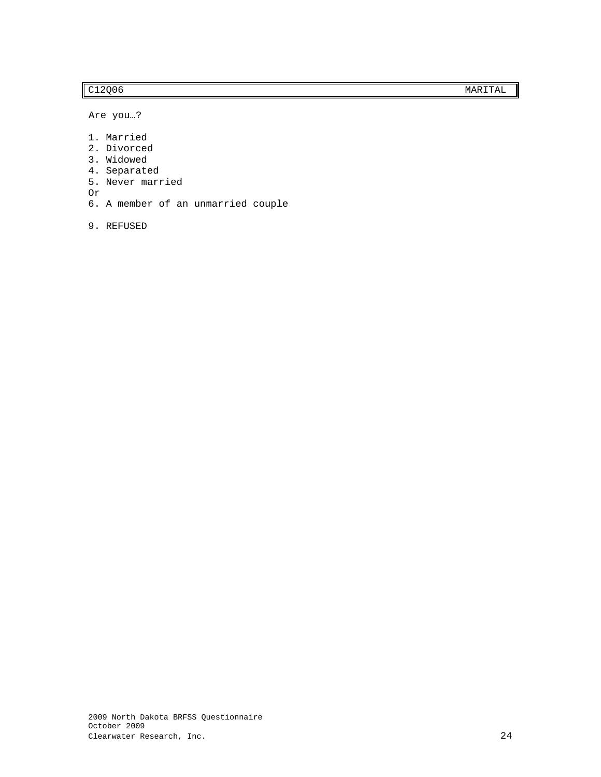### C12Q06 MARITAL

Are you…?

- 1. Married
- 2. Divorced
- 3. Widowed
- 4. Separated
- 5. Never married
- Or
- 6. A member of an unmarried couple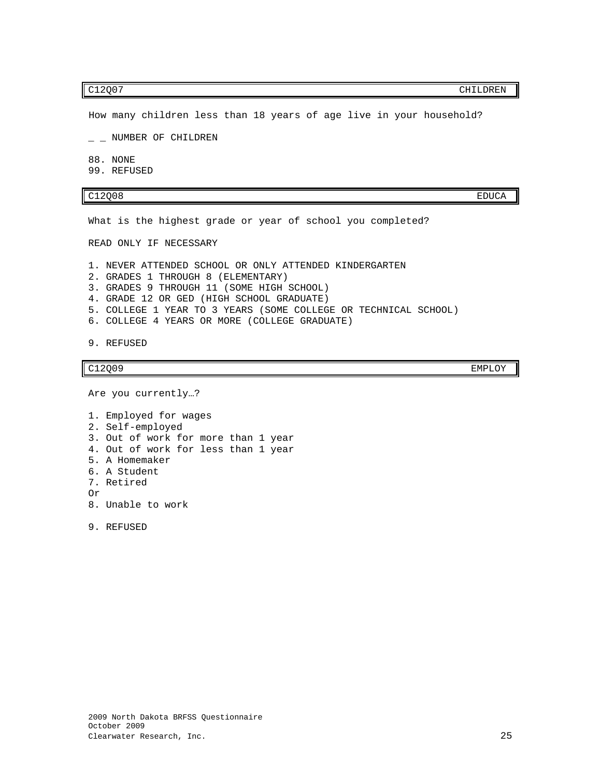How many children less than 18 years of age live in your household?

 $-$  NUMBER OF CHILDREN

88. NONE

99. REFUSED

### C12Q08 EDUCA

What is the highest grade or year of school you completed?

READ ONLY IF NECESSARY

- 1. NEVER ATTENDED SCHOOL OR ONLY ATTENDED KINDERGARTEN
- 2. GRADES 1 THROUGH 8 (ELEMENTARY)
- 3. GRADES 9 THROUGH 11 (SOME HIGH SCHOOL)
- 4. GRADE 12 OR GED (HIGH SCHOOL GRADUATE)
- 5. COLLEGE 1 YEAR TO 3 YEARS (SOME COLLEGE OR TECHNICAL SCHOOL)
- 6. COLLEGE 4 YEARS OR MORE (COLLEGE GRADUATE)

9. REFUSED

C12Q09 EMPLOY

Are you currently…?

1. Employed for wages 2. Self-employed 3. Out of work for more than 1 year 4. Out of work for less than 1 year 5. A Homemaker 6. A Student 7. Retired Or 8. Unable to work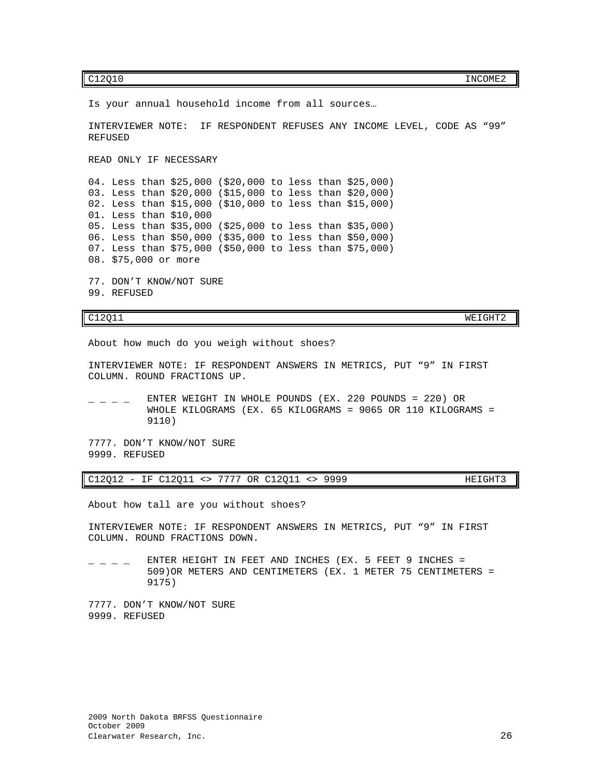C12Q10 INCOME2

Is your annual household income from all sources…

INTERVIEWER NOTE: IF RESPONDENT REFUSES ANY INCOME LEVEL, CODE AS "99" REFUSED

READ ONLY IF NECESSARY

04. Less than \$25,000 (\$20,000 to less than \$25,000) 03. Less than \$20,000 (\$15,000 to less than \$20,000) 02. Less than \$15,000 (\$10,000 to less than \$15,000) 01. Less than \$10,000 05. Less than \$35,000 (\$25,000 to less than \$35,000) 06. Less than \$50,000 (\$35,000 to less than \$50,000) 07. Less than \$75,000 (\$50,000 to less than \$75,000) 08. \$75,000 or more 77. DON'T KNOW/NOT SURE

99. REFUSED

C12Q11 WEIGHT2

About how much do you weigh without shoes?

INTERVIEWER NOTE: IF RESPONDENT ANSWERS IN METRICS, PUT "9" IN FIRST COLUMN. ROUND FRACTIONS UP.

 $\angle$   $\angle$   $\angle$   $\angle$   $\angle$   $\angle$  ENTER WEIGHT IN WHOLE POUNDS (EX. 220 POUNDS = 220) OR WHOLE KILOGRAMS (EX. 65 KILOGRAMS = 9065 OR 110 KILOGRAMS = 9110)

7777. DON'T KNOW/NOT SURE 9999. REFUSED

C12Q12 - IF C12Q11 <> 7777 OR C12Q11 <> 9999 HEIGHT3

About how tall are you without shoes?

INTERVIEWER NOTE: IF RESPONDENT ANSWERS IN METRICS, PUT "9" IN FIRST COLUMN. ROUND FRACTIONS DOWN.

 $-$  ENTER HEIGHT IN FEET AND INCHES (EX. 5 FEET 9 INCHES = 509)OR METERS AND CENTIMETERS (EX. 1 METER 75 CENTIMETERS = 9175)

7777. DON'T KNOW/NOT SURE 9999. REFUSED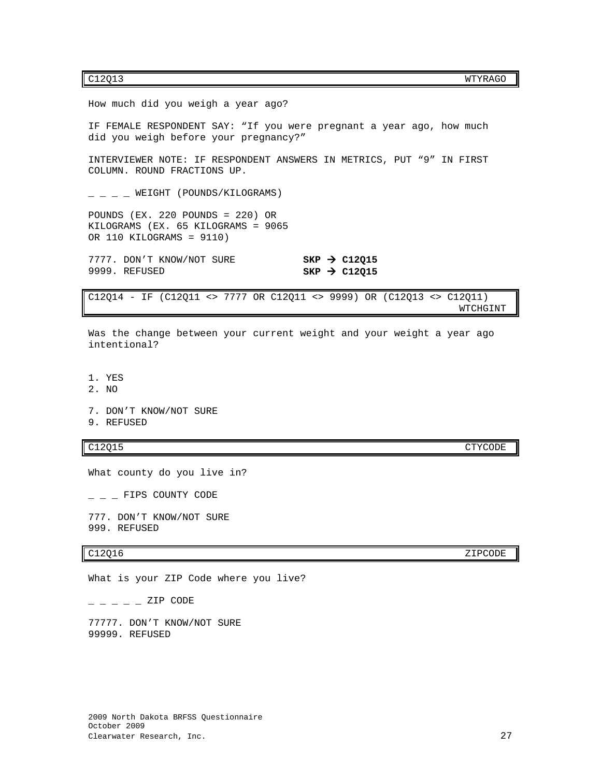How much did you weigh a year ago? IF FEMALE RESPONDENT SAY: "If you were pregnant a year ago, how much did you weigh before your pregnancy?" INTERVIEWER NOTE: IF RESPONDENT ANSWERS IN METRICS, PUT "9" IN FIRST COLUMN. ROUND FRACTIONS UP.  $-$  WEIGHT (POUNDS/KILOGRAMS) POUNDS (EX. 220 POUNDS = 220) OR KILOGRAMS (EX. 65 KILOGRAMS = 9065 OR 110 KILOGRAMS = 9110) 7777. DON'T KNOW/NOT SURE **SKP > C12Q15**<br>9999. REFUSED **SKP > C12Q15** 9999. REFUSED **SKP C12Q15** C12Q14 - IF (C12Q11 <> 7777 OR C12Q11 <> 9999) OR (C12Q13 <> C12Q11)

Was the change between your current weight and your weight a year ago intentional?

where the contract of the contract of the contract of the contract of the contract of the contract of the contract of the contract of the contract of the contract of the contract of the contract of the contract of the cont

- 1. YES
- 2. NO
- 7. DON'T KNOW/NOT SURE
- 9. REFUSED

What county do you live in?

 $-$  FIPS COUNTY CODE

777. DON'T KNOW/NOT SURE 999. REFUSED

What is your ZIP Code where you live?

 $-$  ZIP CODE

77777. DON'T KNOW/NOT SURE 99999. REFUSED

C12Q15 CTYCODE

C12Q16 ZIPCODE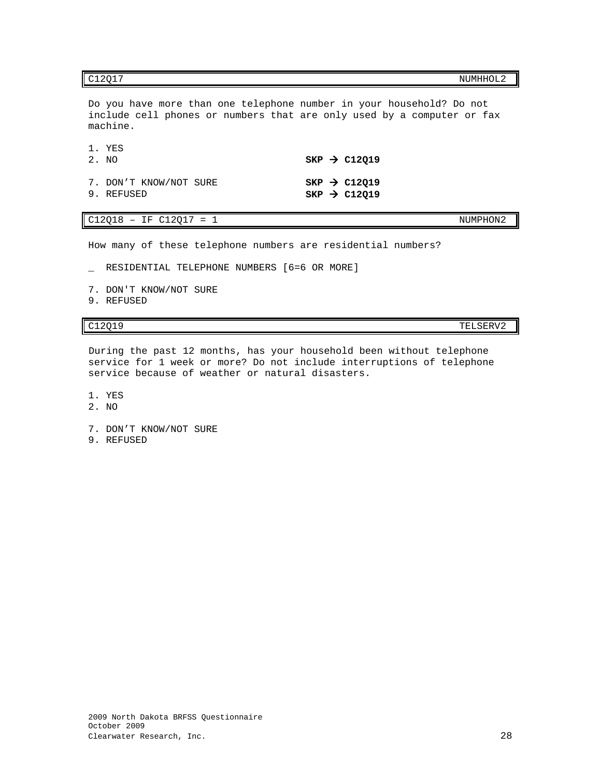Do you have more than one telephone number in your household? Do not include cell phones or numbers that are only used by a computer or fax machine.

| 1. YES<br>2. NO                      |  | $SKP \rightarrow C12Q19$                             |
|--------------------------------------|--|------------------------------------------------------|
| 7. DON'T KNOW/NOT SURE<br>9. REFUSED |  | $SKP \rightarrow C12019$<br>$SKP \rightarrow C12019$ |

### $C12Q18 - IF C12Q17 = 1$  NUMPHON2

How many of these telephone numbers are residential numbers?

- \_ RESIDENTIAL TELEPHONE NUMBERS [6=6 OR MORE]
- 7. DON'T KNOW/NOT SURE
- 9. REFUSED

C12Q19 TELSERV2

During the past 12 months, has your household been without telephone service for 1 week or more? Do not include interruptions of telephone service because of weather or natural disasters.

- 1. YES
- 2. NO
- 7. DON'T KNOW/NOT SURE
- 9. REFUSED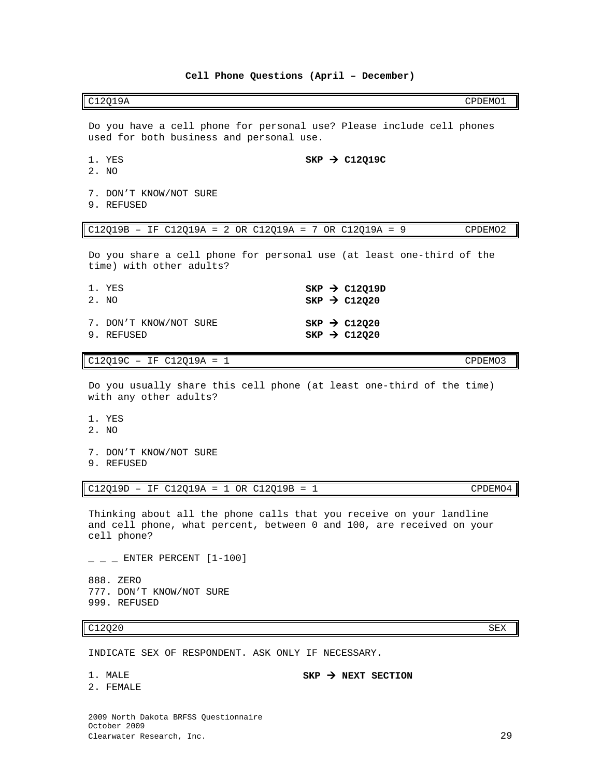### **Cell Phone Questions (April – December)**

<span id="page-30-0"></span>C12Q19A CPDEMO1

Do you have a cell phone for personal use? Please include cell phones used for both business and personal use.

- 1. YES  $S$  **SKP**  $\rightarrow$  **C12Q19C**
- 2. NO
- 7. DON'T KNOW/NOT SURE
- 9. REFUSED

C12Q19B – IF C12Q19A = 2 OR C12Q19A = 7 OR C12Q19A = 9 CPDEMO2

Do you share a cell phone for personal use (at least one-third of the time) with other adults?

| 1. YES<br>2. NO                      |  | $SKP \rightarrow C12Q19D$<br>SKP $\rightarrow$ C12020 |
|--------------------------------------|--|-------------------------------------------------------|
| 7. DON'T KNOW/NOT SURE<br>9. REFUSED |  | SKP $\rightarrow$ C12Q20<br>SKP $\rightarrow$ C12020  |

 $C12Q19C - IF C12Q19A = 1$  CPDEMO3

Do you usually share this cell phone (at least one-third of the time) with any other adults?

- 1. YES
- 2. NO
- 7. DON'T KNOW/NOT SURE
- 9. REFUSED

 $C12Q19D - IF C12Q19A = 1 OR C12Q19B = 1$  CPDEMO4

Thinking about all the phone calls that you receive on your landline and cell phone, what percent, between 0 and 100, are received on your cell phone?

 $\angle$   $\angle$   $\angle$  ENTER PERCENT [1-100]

888. ZERO 777. DON'T KNOW/NOT SURE 999. REFUSED

### $C12Q20$  SEX

INDICATE SEX OF RESPONDENT. ASK ONLY IF NECESSARY.

1. MALE  $SKP \rightarrow NEXT$  **SECTION** 

2. FEMALE

2009 North Dakota BRFSS Questionnaire October 2009 Clearwater Research, Inc. 29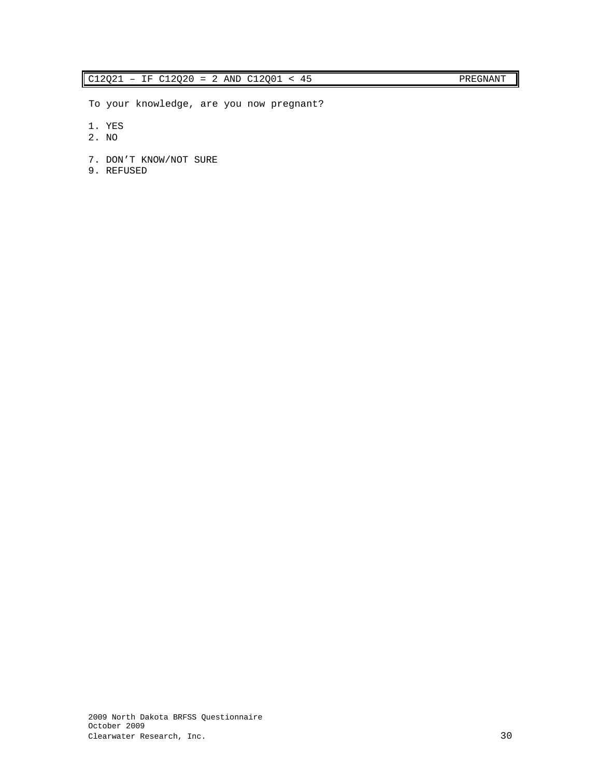To your knowledge, are you now pregnant?

- 1. YES
- 2. NO
- 7. DON'T KNOW/NOT SURE
- 9. REFUSED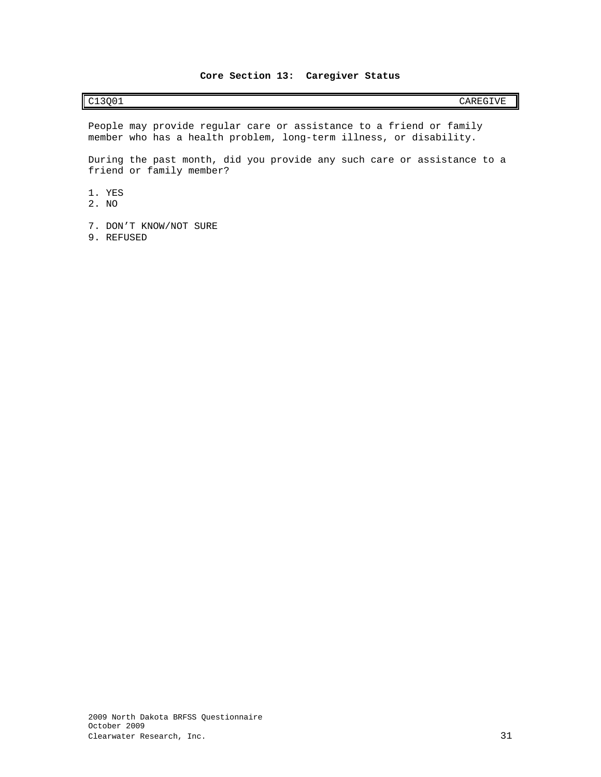<span id="page-32-0"></span>C13Q01 CAREGIVE

People may provide regular care or assistance to a friend or family member who has a health problem, long-term illness, or disability.

During the past month, did you provide any such care or assistance to a friend or family member?

- 1. YES
- 2. NO
- 7. DON'T KNOW/NOT SURE 9. REFUSED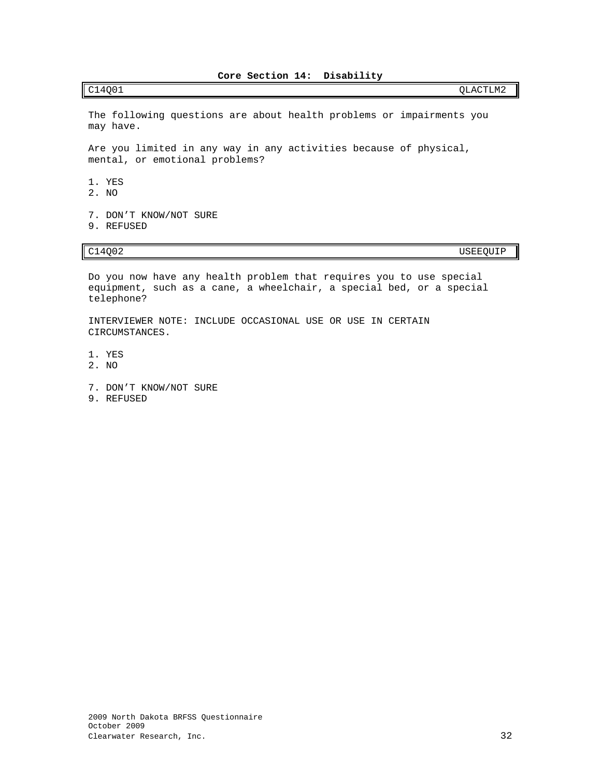### **Core Section 14: Disability**

<span id="page-33-0"></span>C14Q01 QLACTLM2

The following questions are about health problems or impairments you may have.

Are you limited in any way in any activities because of physical, mental, or emotional problems?

- 1. YES
- 2. NO
- 7. DON'T KNOW/NOT SURE
- 9. REFUSED

C14Q02 USEEQUIP

Do you now have any health problem that requires you to use special equipment, such as a cane, a wheelchair, a special bed, or a special telephone?

INTERVIEWER NOTE: INCLUDE OCCASIONAL USE OR USE IN CERTAIN CIRCUMSTANCES.

- 1. YES
- 2. NO
- 7. DON'T KNOW/NOT SURE
- 9. REFUSED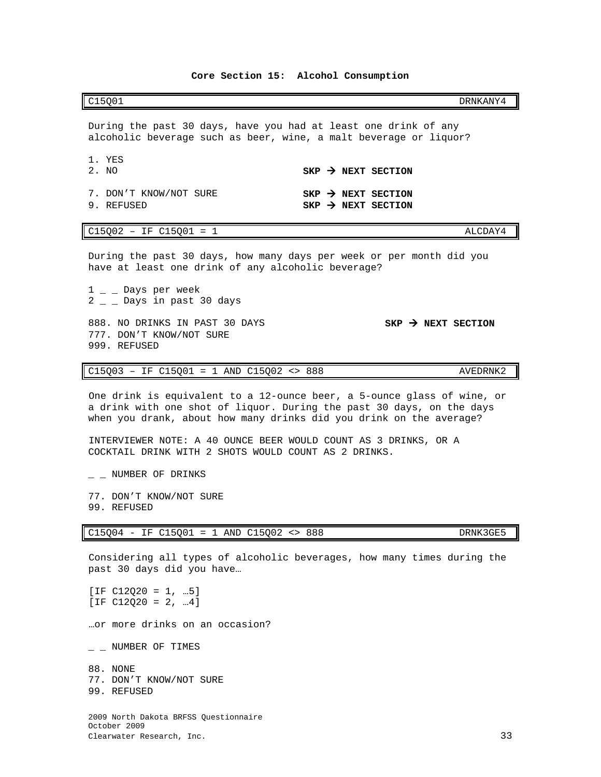### **Core Section 15: Alcohol Consumption**

 $SKP \rightarrow NEXT$  SECTION

 $SKP \rightarrow NEXT$  SECTION

### <span id="page-34-0"></span>C15Q01 DRNKANY4

During the past 30 days, have you had at least one drink of any alcoholic beverage such as beer, wine, a malt beverage or liquor?

1. YES<br>2. NO

- 7. DON'T KNOW/NOT SURE **SKP > NEXT SECTION**<br>9. REFUSED **SKP > NEXT SECTION**
- 

During the past 30 days, how many days per week or per month did you have at least one drink of any alcoholic beverage?

 $1 -$  Days per week  $2 -$  Days in past 30 days 888. NO DRINKS IN PAST 30 DAYS **SKP > NEXT SECTION** 777. DON'T KNOW/NOT SURE 999. REFUSED

One drink is equivalent to a 12-ounce beer, a 5-ounce glass of wine, or a drink with one shot of liquor. During the past 30 days, on the days when you drank, about how many drinks did you drink on the average?

C15Q03 – IF C15Q01 = 1 AND C15Q02 <> 888 AVEDRNK2

INTERVIEWER NOTE: A 40 OUNCE BEER WOULD COUNT AS 3 DRINKS, OR A COCKTAIL DRINK WITH 2 SHOTS WOULD COUNT AS 2 DRINKS.

 $\_$  NUMBER OF DRINKS

[IF C12Q20 = 1, …5] [IF C12Q20 = 2, …4]

77. DON'T KNOW/NOT SURE 99. REFUSED

C15Q04 - IF C15Q01 = 1 AND C15Q02 <> 888 DRNK3GE5

Considering all types of alcoholic beverages, how many times during the past 30 days did you have…

…or more drinks on an occasion?  $-$  NUMBER OF TIMES 88. NONE 77. DON'T KNOW/NOT SURE 99. REFUSED

2009 North Dakota BRFSS Questionnaire October 2009 Clearwater Research, Inc. 33

 $C15Q02 - IF C15Q01 = 1$  ALCDAY4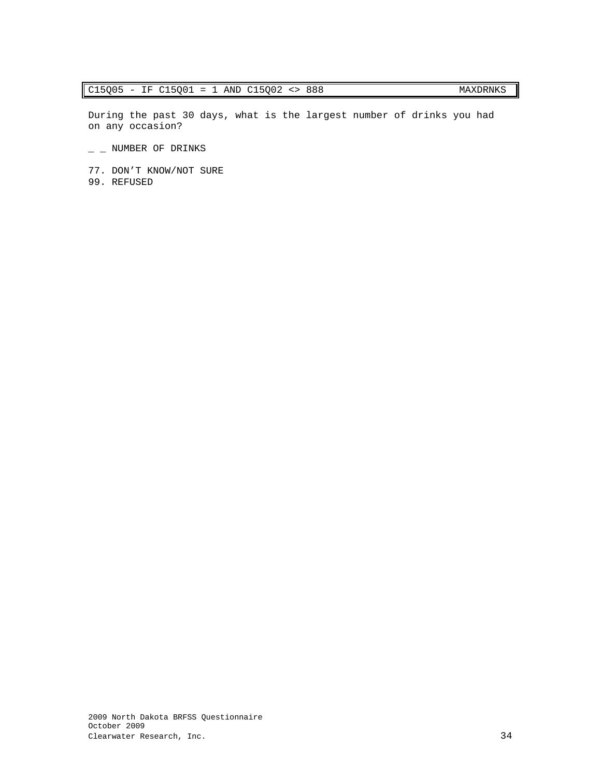During the past 30 days, what is the largest number of drinks you had on any occasion?

 $-$  NUMBER OF DRINKS

77. DON'T KNOW/NOT SURE 99. REFUSED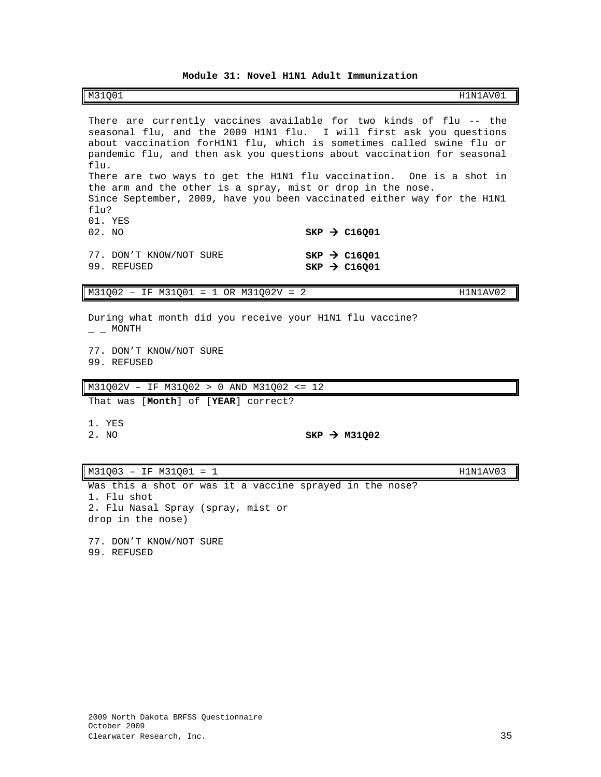### **Module 31: Novel H1N1 Adult Immunization**

| M31Q01                                                                                                                                                                                                                                                   | H1N1AV01                                                                                                                                                                                                                                                                                                               |
|----------------------------------------------------------------------------------------------------------------------------------------------------------------------------------------------------------------------------------------------------------|------------------------------------------------------------------------------------------------------------------------------------------------------------------------------------------------------------------------------------------------------------------------------------------------------------------------|
| pandemic flu, and then ask you questions about vaccination for seasonal<br>flu.<br>the arm and the other is a spray, mist or drop in the nose.<br>Since September, 2009, have you been vaccinated either way for the H1N1<br>flur<br>01. YES<br>$02.$ NO | There are currently vaccines available for two kinds of flu -- the<br>seasonal flu, and the 2009 H1N1 flu. I will first ask you questions<br>about vaccination forH1N1 flu, which is sometimes called swine flu or<br>There are two ways to get the H1N1 flu vaccination. One is a shot in<br>$SKP \rightarrow C16Q01$ |
| 77. DON'T KNOW/NOT SURE<br>99. REFUSED                                                                                                                                                                                                                   | $SKP$ $\rightarrow$ C16Q01<br>$SKP$ $\rightarrow$ C16Q01                                                                                                                                                                                                                                                               |
|                                                                                                                                                                                                                                                          |                                                                                                                                                                                                                                                                                                                        |
| $MS1Q02 - IF M31Q01 = 1 OR M31Q02V = 2$                                                                                                                                                                                                                  | H1N1AV02                                                                                                                                                                                                                                                                                                               |
| During what month did you receive your H1N1 flu vaccine?<br>MONTH                                                                                                                                                                                        |                                                                                                                                                                                                                                                                                                                        |
| 77. DON'T KNOW/NOT SURE<br>99. REFUSED                                                                                                                                                                                                                   |                                                                                                                                                                                                                                                                                                                        |
| M31002V - IF M31002 > 0 AND M31002 <= 12                                                                                                                                                                                                                 |                                                                                                                                                                                                                                                                                                                        |
| That was [Month] of [YEAR] correct?                                                                                                                                                                                                                      |                                                                                                                                                                                                                                                                                                                        |
| 1. YES<br>2. NO                                                                                                                                                                                                                                          | $SKP \rightarrow M31002$                                                                                                                                                                                                                                                                                               |

M31Q03 - IF M31Q01 = 1 H1N1AV03

Was this a shot or was it a vaccine sprayed in the nose? 1. Flu shot 2. Flu Nasal Spray (spray, mist or drop in the nose)

77. DON'T KNOW/NOT SURE 99. REFUSED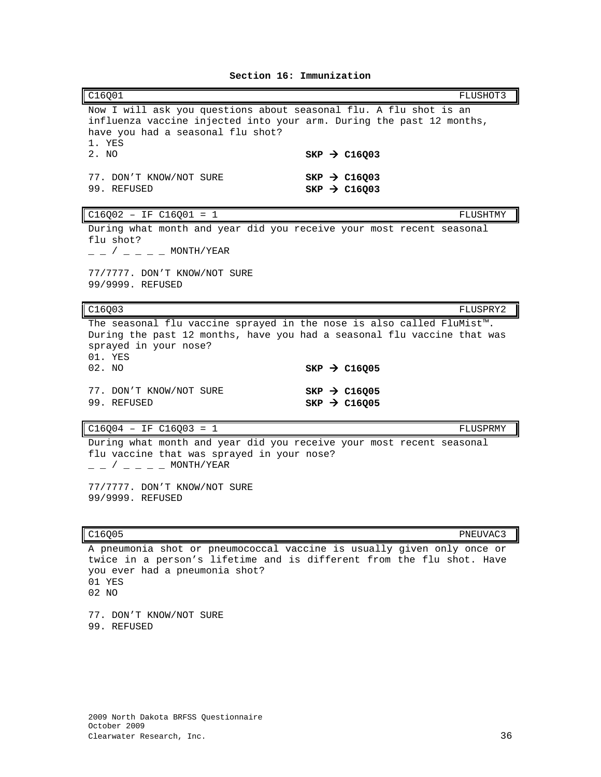### **Section 16: Immunization**

| C16Q01                                                                                                                                                                                            | FLUSHOT3                                             |
|---------------------------------------------------------------------------------------------------------------------------------------------------------------------------------------------------|------------------------------------------------------|
| Now I will ask you questions about seasonal flu. A flu shot is an<br>influenza vaccine injected into your arm. During the past 12 months,<br>have you had a seasonal flu shot?<br>1. YES<br>2. NO | $SKP \rightarrow C16Q03$                             |
| 77. DON'T KNOW/NOT SURE<br>99. REFUSED                                                                                                                                                            | SKP $\rightarrow$ C16Q03<br>$SKP \rightarrow C16Q03$ |
| $C16Q02 - IF C16Q01 = 1$                                                                                                                                                                          | FLUSHTMY                                             |
| During what month and year did you receive your most recent seasonal<br>flu shot?<br>/ MONTH/YEAR<br>77/7777. DON'T KNOW/NOT SURE<br>99/9999. REFUSED                                             |                                                      |
| C16Q03                                                                                                                                                                                            | FLUSPRY2                                             |
| The seasonal flu vaccine sprayed in the nose is also called FluMist™.<br>During the past 12 months, have you had a seasonal flu vaccine that was<br>sprayed in your nose?<br>01. YES<br>02. NO    | $SKP \rightarrow C16Q05$                             |
| 77. DON'T KNOW/NOT SURE<br>99. REFUSED                                                                                                                                                            | SKP $\rightarrow$ C16Q05<br>$SKP \rightarrow C16Q05$ |
| $C16Q04 - IF C16Q03 = 1$                                                                                                                                                                          | FLUSPRMY                                             |
| During what month and year did you receive your most recent seasonal<br>flu vaccine that was sprayed in your nose?<br>MONTH/YEAR                                                                  |                                                      |
| 77/7777. DON'T KNOW/NOT SURE<br>99/9999. REFUSED                                                                                                                                                  |                                                      |
| C16005                                                                                                                                                                                            | PNEUVAC3                                             |
| A pneumonia shot or pneumococcal vaccine is usually given only once or<br>twice in a person's lifetime and is different from the flu shot. Have<br>you ever had a pneumonia shot?                 |                                                      |

77. DON'T KNOW/NOT SURE 99. REFUSED

01 YES 02 NO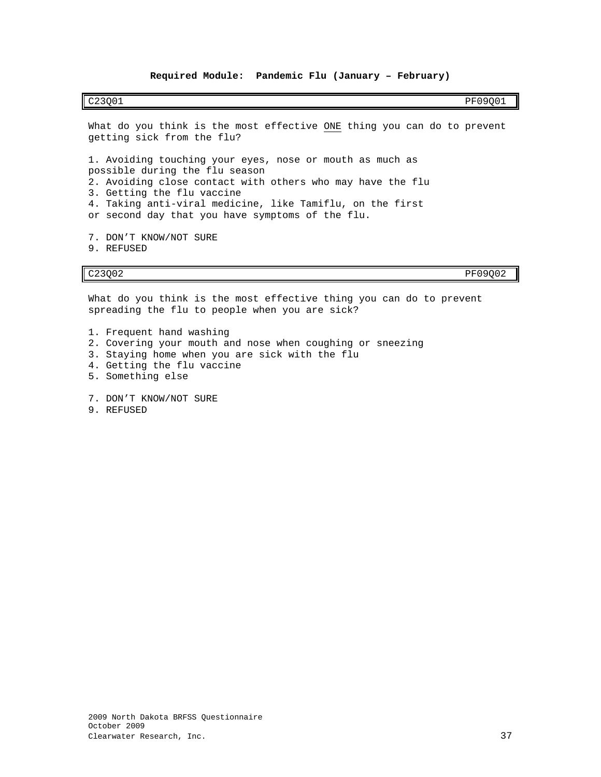### **Required Module: Pandemic Flu (January – February)**

 $C23Q01$  PF09Q01

What do you think is the most effective ONE thing you can do to prevent getting sick from the flu? 1. Avoiding touching your eyes, nose or mouth as much as possible during the flu season 2. Avoiding close contact with others who may have the flu 3. Getting the flu vaccine 4. Taking anti-viral medicine, like Tamiflu, on the first or second day that you have symptoms of the flu. 7. DON'T KNOW/NOT SURE 9. REFUSED  $C23Q02$  PF09Q02

What do you think is the most effective thing you can do to prevent spreading the flu to people when you are sick?

- 1. Frequent hand washing
- 2. Covering your mouth and nose when coughing or sneezing
- 3. Staying home when you are sick with the flu
- 4. Getting the flu vaccine
- 5. Something else
- 7. DON'T KNOW/NOT SURE
- 9. REFUSED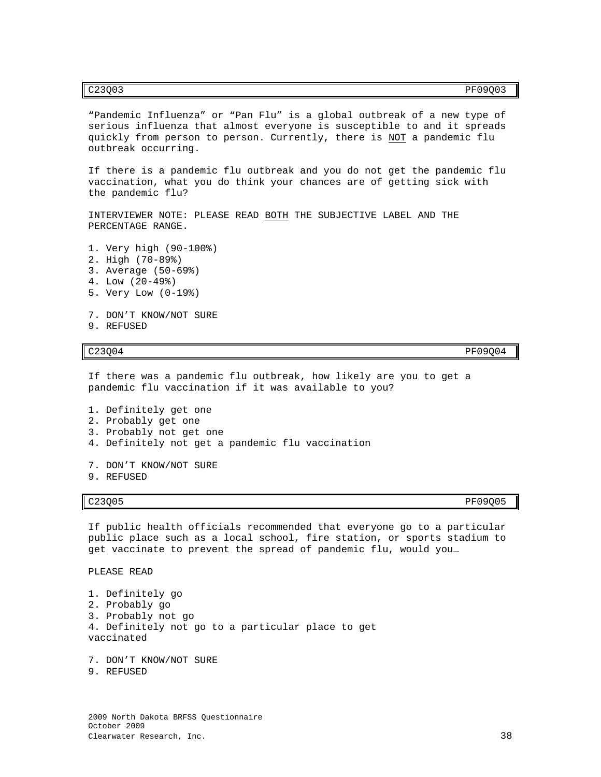"Pandemic Influenza" or "Pan Flu" is a global outbreak of a new type of serious influenza that almost everyone is susceptible to and it spreads quickly from person to person. Currently, there is NOT a pandemic flu outbreak occurring.

If there is a pandemic flu outbreak and you do not get the pandemic flu vaccination, what you do think your chances are of getting sick with the pandemic flu?

INTERVIEWER NOTE: PLEASE READ BOTH THE SUBJECTIVE LABEL AND THE PERCENTAGE RANGE.

- 1. Very high (90-100%) 2. High (70-89%) 3. Average (50-69%)
- 4. Low (20-49%)
- 5. Very Low (0-19%)
- 7. DON'T KNOW/NOT SURE
- 9. REFUSED

#### $C23Q04$  PF09Q04

If there was a pandemic flu outbreak, how likely are you to get a pandemic flu vaccination if it was available to you?

- 1. Definitely get one
- 2. Probably get one
- 3. Probably not get one
- 4. Definitely not get a pandemic flu vaccination
- 7. DON'T KNOW/NOT SURE
- 9. REFUSED

 $C23Q05$  PF09Q05

If public health officials recommended that everyone go to a particular public place such as a local school, fire station, or sports stadium to get vaccinate to prevent the spread of pandemic flu, would you…

PLEASE READ

1. Definitely go 2. Probably go 3. Probably not go 4. Definitely not go to a particular place to get vaccinated

- 7. DON'T KNOW/NOT SURE
- 9. REFUSED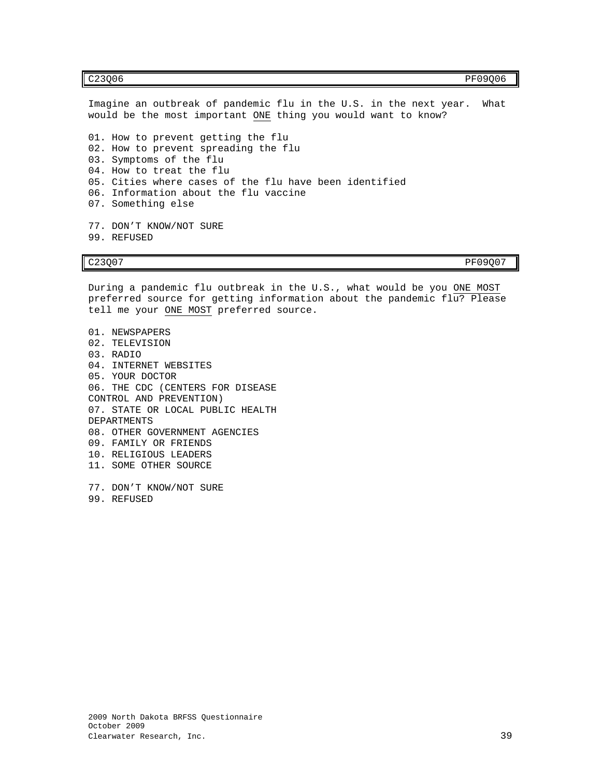$C23Q06$  PF09Q06

Imagine an outbreak of pandemic flu in the U.S. in the next year. What would be the most important ONE thing you would want to know?

01. How to prevent getting the flu 02. How to prevent spreading the flu 03. Symptoms of the flu 04. How to treat the flu 05. Cities where cases of the flu have been identified 06. Information about the flu vaccine 07. Something else 77. DON'T KNOW/NOT SURE 99. REFUSED

 $C23Q07$  PF09Q07

During a pandemic flu outbreak in the U.S., what would be you ONE MOST preferred source for getting information about the pandemic flu? Please tell me your ONE MOST preferred source.

01. NEWSPAPERS 02. TELEVISION 03. RADIO 04. INTERNET WEBSITES 05. YOUR DOCTOR 06. THE CDC (CENTERS FOR DISEASE CONTROL AND PREVENTION) 07. STATE OR LOCAL PUBLIC HEALTH DEPARTMENTS 08. OTHER GOVERNMENT AGENCIES 09. FAMILY OR FRIENDS 10. RELIGIOUS LEADERS 11. SOME OTHER SOURCE

77. DON'T KNOW/NOT SURE 99. REFUSED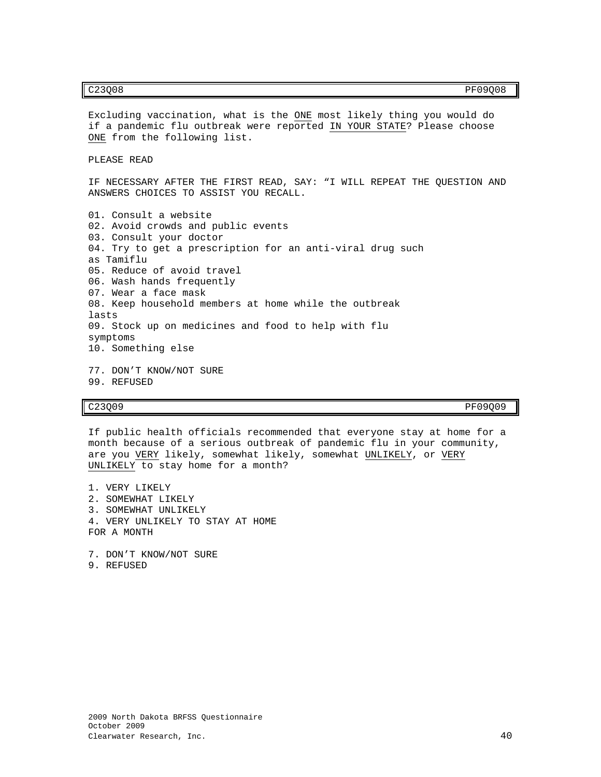Excluding vaccination, what is the ONE most likely thing you would do if a pandemic flu outbreak were reported IN YOUR STATE? Please choose ONE from the following list.

PLEASE READ

IF NECESSARY AFTER THE FIRST READ, SAY: "I WILL REPEAT THE QUESTION AND ANSWERS CHOICES TO ASSIST YOU RECALL.

01. Consult a website 02. Avoid crowds and public events 03. Consult your doctor 04. Try to get a prescription for an anti-viral drug such as Tamiflu 05. Reduce of avoid travel 06. Wash hands frequently 07. Wear a face mask 08. Keep household members at home while the outbreak lasts 09. Stock up on medicines and food to help with flu symptoms 10. Something else 77. DON'T KNOW/NOT SURE 99. REFUSED

 $C23Q09$  PF09Q09

If public health officials recommended that everyone stay at home for a month because of a serious outbreak of pandemic flu in your community, are you VERY likely, somewhat likely, somewhat UNLIKELY, or VERY UNLIKELY to stay home for a month?

1. VERY LIKELY 2. SOMEWHAT LIKELY 3. SOMEWHAT UNLIKELY 4. VERY UNLIKELY TO STAY AT HOME FOR A MONTH

7. DON'T KNOW/NOT SURE 9. REFUSED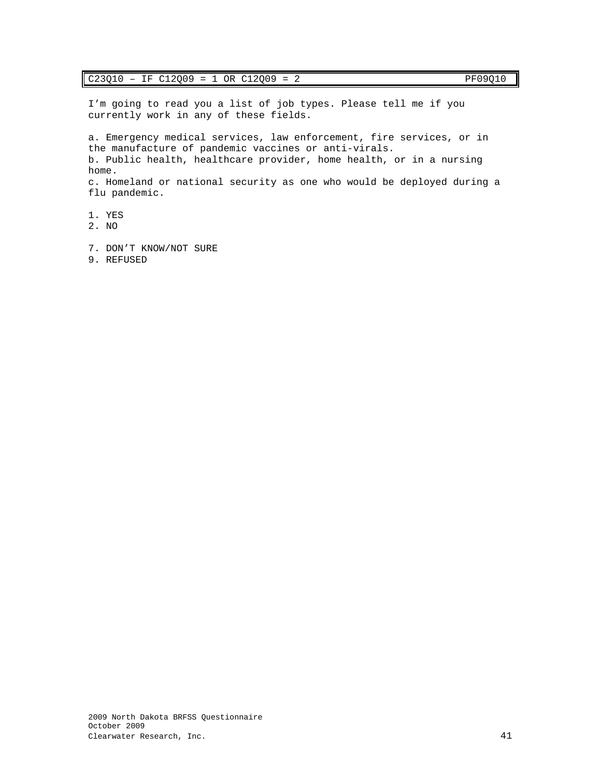I'm going to read you a list of job types. Please tell me if you currently work in any of these fields.

a. Emergency medical services, law enforcement, fire services, or in the manufacture of pandemic vaccines or anti-virals. b. Public health, healthcare provider, home health, or in a nursing home. c. Homeland or national security as one who would be deployed during a flu pandemic.

- 1. YES
- 2. NO

7. DON'T KNOW/NOT SURE

9. REFUSED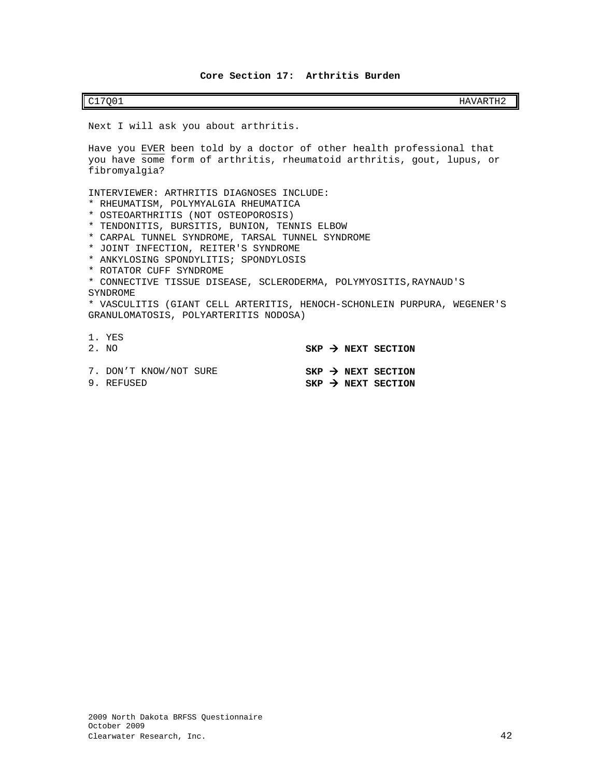# C17Q01 HAVARTH2 Next I will ask you about arthritis. Have you EVER been told by a doctor of other health professional that you have some form of arthritis, rheumatoid arthritis, gout, lupus, or fibromyalgia? INTERVIEWER: ARTHRITIS DIAGNOSES INCLUDE: \* RHEUMATISM, POLYMYALGIA RHEUMATICA \* OSTEOARTHRITIS (NOT OSTEOPOROSIS) \* TENDONITIS, BURSITIS, BUNION, TENNIS ELBOW \* CARPAL TUNNEL SYNDROME, TARSAL TUNNEL SYNDROME \* JOINT INFECTION, REITER'S SYNDROME \* ANKYLOSING SPONDYLITIS; SPONDYLOSIS \* ROTATOR CUFF SYNDROME \* CONNECTIVE TISSUE DISEASE, SCLERODERMA, POLYMYOSITIS,RAYNAUD'S SYNDROME \* VASCULITIS (GIANT CELL ARTERITIS, HENOCH-SCHONLEIN PURPURA, WEGENER'S GRANULOMATOSIS, POLYARTERITIS NODOSA) 1. YES<br>2. NO  $SKP \rightarrow NEXT$  SECTION 7. DON'T KNOW/NOT SURE **SKP > NEXT SECTION**<br>
9. REFUSED **SKP > NEXT SECTION**  $SKP$   $\rightarrow$  NEXT SECTION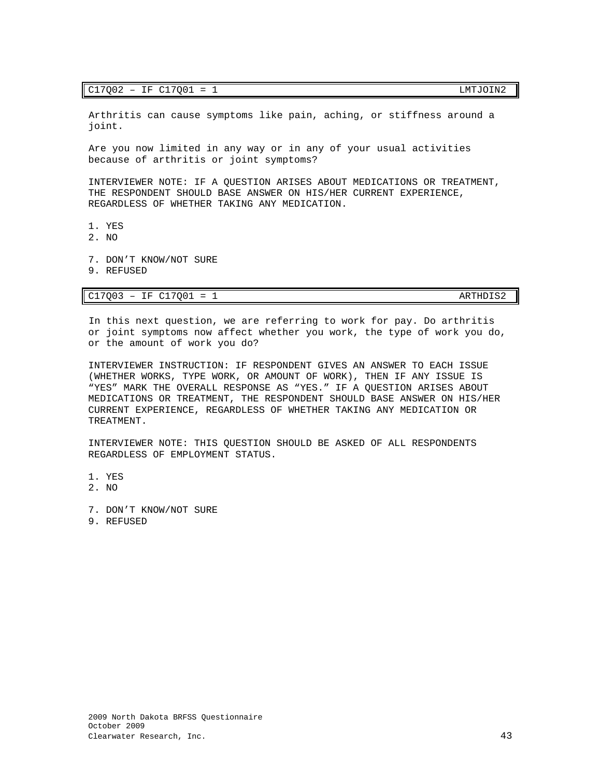## C17Q02 – IF C17Q01 = 1 LMTJOIN2

Arthritis can cause symptoms like pain, aching, or stiffness around a joint.

Are you now limited in any way or in any of your usual activities because of arthritis or joint symptoms?

INTERVIEWER NOTE: IF A QUESTION ARISES ABOUT MEDICATIONS OR TREATMENT, THE RESPONDENT SHOULD BASE ANSWER ON HIS/HER CURRENT EXPERIENCE, REGARDLESS OF WHETHER TAKING ANY MEDICATION.

- 1. YES
- 2. NO
- 7. DON'T KNOW/NOT SURE
- 9. REFUSED

C17Q03 – IF C17Q01 = 1 ARTHDIS2

In this next question, we are referring to work for pay. Do arthritis or joint symptoms now affect whether you work, the type of work you do, or the amount of work you do?

INTERVIEWER INSTRUCTION: IF RESPONDENT GIVES AN ANSWER TO EACH ISSUE (WHETHER WORKS, TYPE WORK, OR AMOUNT OF WORK), THEN IF ANY ISSUE IS "YES" MARK THE OVERALL RESPONSE AS "YES." IF A QUESTION ARISES ABOUT MEDICATIONS OR TREATMENT, THE RESPONDENT SHOULD BASE ANSWER ON HIS/HER CURRENT EXPERIENCE, REGARDLESS OF WHETHER TAKING ANY MEDICATION OR TREATMENT.

INTERVIEWER NOTE: THIS QUESTION SHOULD BE ASKED OF ALL RESPONDENTS REGARDLESS OF EMPLOYMENT STATUS.

- 1. YES
- 2. NO

7. DON'T KNOW/NOT SURE

9. REFUSED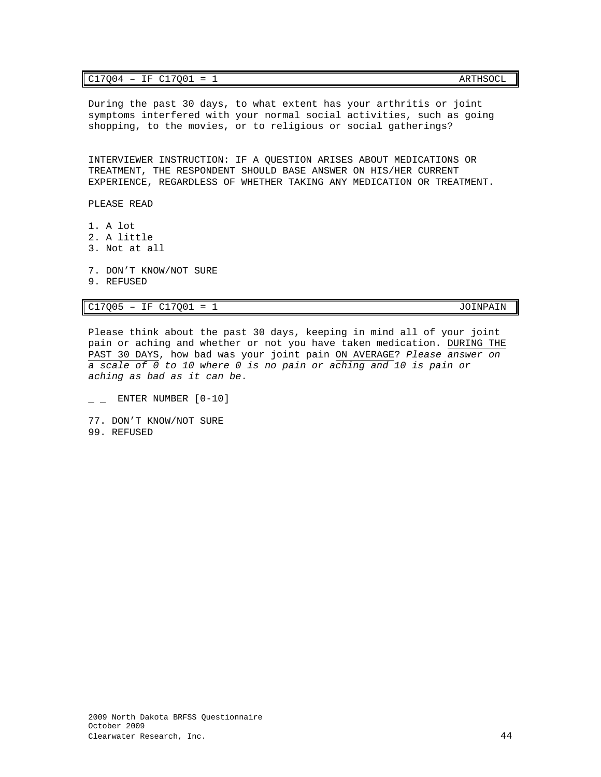| $C17Q04 - IF C17Q01$<br>$=$ | ARTHSOCL |
|-----------------------------|----------|
|-----------------------------|----------|

During the past 30 days, to what extent has your arthritis or joint symptoms interfered with your normal social activities, such as going shopping, to the movies, or to religious or social gatherings?

INTERVIEWER INSTRUCTION: IF A QUESTION ARISES ABOUT MEDICATIONS OR TREATMENT, THE RESPONDENT SHOULD BASE ANSWER ON HIS/HER CURRENT EXPERIENCE, REGARDLESS OF WHETHER TAKING ANY MEDICATION OR TREATMENT.

PLEASE READ

- 1. A lot 2. A little 3. Not at all
- 7. DON'T KNOW/NOT SURE
- 9. REFUSED

#### $C17Q05 - IF C17Q01 = 1$  JOINPAIN

Please think about the past 30 days, keeping in mind all of your joint pain or aching and whether or not you have taken medication. DURING THE PAST 30 DAYS, how bad was your joint pain ON AVERAGE? *Please answer on a scale of 0 to 10 where 0 is no pain or aching and 10 is pain or aching as bad as it can be*.

 $\angle$   $\angle$  ENTER NUMBER [0-10]

77. DON'T KNOW/NOT SURE 99. REFUSED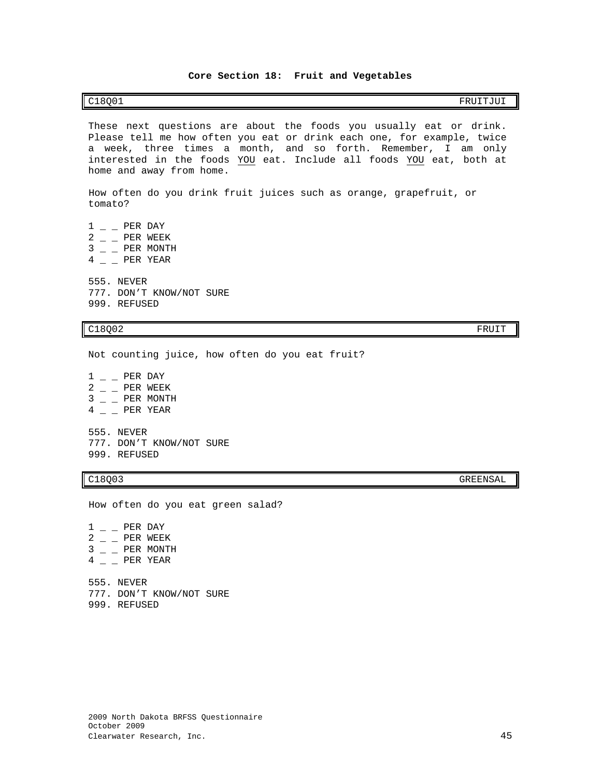### **Core Section 18: Fruit and Vegetables**

C18Q01 FRUITJUI

These next questions are about the foods you usually eat or drink. Please tell me how often you eat or drink each one, for example, twice a week, three times a month, and so forth. Remember, I am only interested in the foods YOU eat. Include all foods YOU eat, both at home and away from home.

How often do you drink fruit juices such as orange, grapefruit, or tomato?

  $-$  PER DAY  $-$  PER WEEK  $-$  PER MONTH  $-$  PER YEAR 555. NEVER

777. DON'T KNOW/NOT SURE 999. REFUSED

### C18Q02 FRUIT

Not counting juice, how often do you eat fruit?

  $-$  PER DAY  $-$  PER WEEK  $-$  PER MONTH  $-$  PER YEAR 555. NEVER

777. DON'T KNOW/NOT SURE 999. REFUSED

How often do you eat green salad?

  $-$  PER DAY  $-$  PER WEEK  $-$  PER MONTH  $-$  PER YEAR 555. NEVER

777. DON'T KNOW/NOT SURE 999. REFUSED

C18Q03 GREENSAL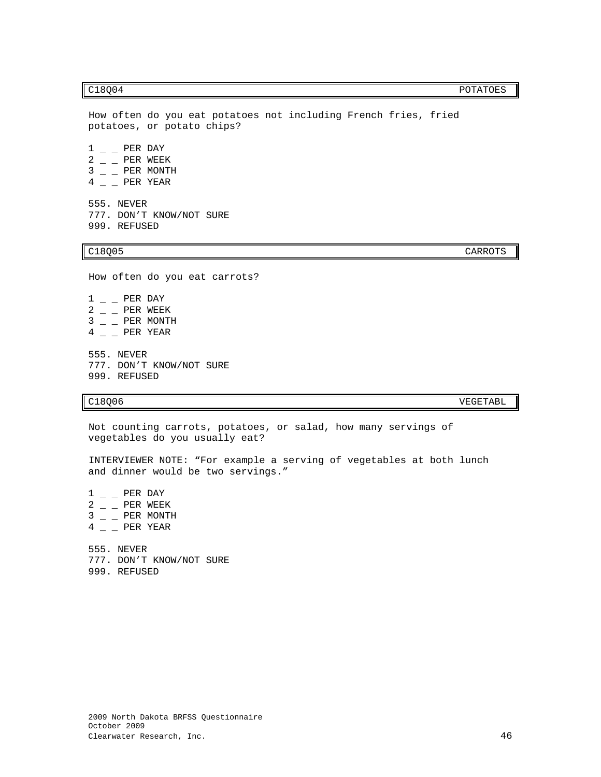### C18Q04 POTATOES

How often do you eat potatoes not including French fries, fried potatoes, or potato chips?  $1$   $-$  PER DAY  $2$   $-$  PER WEEK  $3$   $-$  PER MONTH  $4$   $-$  PER YEAR 555. NEVER 777. DON'T KNOW/NOT SURE 999. REFUSED C18Q05 CARROTS How often do you eat carrots?  $1$   $-$  PER DAY  $2$   $-$  PER WEEK  $3$   $-$  PER MONTH 4 \_ \_ PER YEAR 555. NEVER 777. DON'T KNOW/NOT SURE 999. REFUSED

C18Q06 VEGETABL

Not counting carrots, potatoes, or salad, how many servings of vegetables do you usually eat?

INTERVIEWER NOTE: "For example a serving of vegetables at both lunch and dinner would be two servings."

  $-$  PER DAY  $-$  PER WEEK  $-$  PER MONTH  $-$  PER YEAR 555. NEVER

777. DON'T KNOW/NOT SURE 999. REFUSED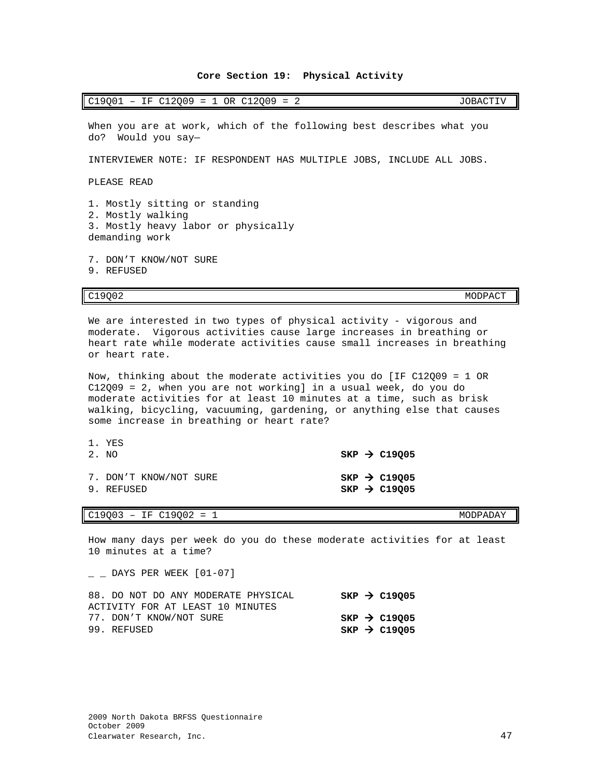#### **Core Section 19: Physical Activity**

| C19Q01<br>$-$ IF C12Q09 = 1 OR C12Q09 = '<br>JOBACTIV |  |
|-------------------------------------------------------|--|
|-------------------------------------------------------|--|

When you are at work, which of the following best describes what you do? Would you say—

INTERVIEWER NOTE: IF RESPONDENT HAS MULTIPLE JOBS, INCLUDE ALL JOBS.

PLEASE READ

1. Mostly sitting or standing 2. Mostly walking 3. Mostly heavy labor or physically demanding work

7. DON'T KNOW/NOT SURE 9. REFUSED

C19Q02 MODPACT

We are interested in two types of physical activity - vigorous and moderate. Vigorous activities cause large increases in breathing or heart rate while moderate activities cause small increases in breathing or heart rate.

Now, thinking about the moderate activities you do [IF C12Q09 = 1 OR C12Q09 = 2, when you are not working] in a usual week, do you do moderate activities for at least 10 minutes at a time, such as brisk walking, bicycling, vacuuming, gardening, or anything else that causes some increase in breathing or heart rate?

| 1. YES<br>2. NO                      | $SKP \rightarrow C19005$                             |  |
|--------------------------------------|------------------------------------------------------|--|
| 7. DON'T KNOW/NOT SURE<br>9. REFUSED | $SKP \rightarrow C19005$<br>$SKP \rightarrow C19005$ |  |

 $C19Q03 - IF C19Q02 = 1$  MODPADAY

How many days per week do you do these moderate activities for at least 10 minutes at a time?

 $\_$  DAYS PER WEEK  $[01-07]$ 

| 88. DO NOT DO ANY MODERATE PHYSICAL |  | $SKP \rightarrow C19005$   |
|-------------------------------------|--|----------------------------|
| ACTIVITY FOR AT LEAST 10 MINUTES    |  |                            |
| 77. DON'T KNOW/NOT SURE             |  | $SKP$ $\rightarrow$ C19005 |
| 99. REFUSED                         |  | $SKP \rightarrow C19005$   |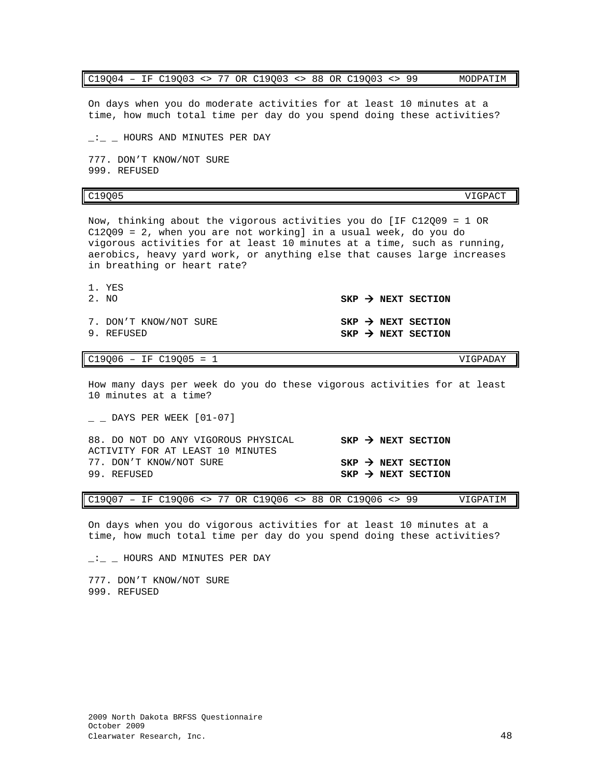| $C19Q04$ - IF $C19Q03$ <> 77 OR $C19Q03$ <> 88 OR $C19Q03$ <> 99 |  |  |  |  |  | MODPATIM |
|------------------------------------------------------------------|--|--|--|--|--|----------|

On days when you do moderate activities for at least 10 minutes at a time, how much total time per day do you spend doing these activities?

 $-:-$  HOURS AND MINUTES PER DAY

777. DON'T KNOW/NOT SURE 999. REFUSED

in breathing or heart rate?

| Now, thinking about the vigorous activities you do [IF $C12009 = 1$ OR  |
|-------------------------------------------------------------------------|
| $C12009 = 2$ , when you are not working in a usual week, do you do      |
| vigorous activities for at least 10 minutes at a time, such as running, |
| aerobics, heavy yard work, or anything else that causes large increases |

C19Q05 VIGPACT

1. YES<br>2. NO  $SKP \rightarrow NEXT$  SECTION 7. DON'T KNOW/NOT SURE **SKP > NEXT SECTION**<br>
9. REFUSED  $SKP \rightarrow NEXT$  SECTION

C19Q06 – IF C19Q05 = 1 VIGPADAY

How many days per week do you do these vigorous activities for at least 10 minutes at a time?

 $\_$  DAYS PER WEEK  $[01-07]$ 

88. DO NOT DO ANY VIGOROUS PHYSICAL ACTIVITY FOR AT LEAST 10 MINUTES  $SKP \rightarrow NEXT$  SECTION 77. DON'T KNOW/NOT SURE **SKP > NEXT SECTION**<br>99. REFUSED  $SKP$   $\rightarrow$  NEXT SECTION

C19Q07 – IF C19Q06 <> 77 OR C19Q06 <> 88 OR C19Q06 <> 99 VIGPATIM

On days when you do vigorous activities for at least 10 minutes at a time, how much total time per day do you spend doing these activities?

\_:\_ \_ HOURS AND MINUTES PER DAY

777. DON'T KNOW/NOT SURE 999. REFUSED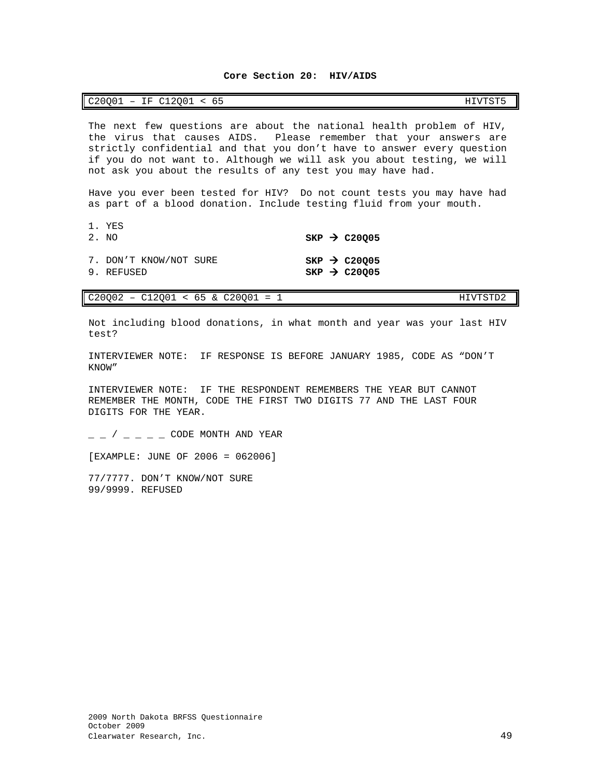#### **Core Section 20: HIV/AIDS**

C20Q01 – IF C12Q01 < 65 HIVTST5

# The next few questions are about the national health problem of HIV, the virus that causes AIDS. Please remember that your answers are strictly confidential and that you don't have to answer every question if you do not want to. Although we will ask you about testing, we will not ask you about the results of any test you may have had. Have you ever been tested for HIV? Do not count tests you may have had as part of a blood donation. Include testing fluid from your mouth. 1. YES<br>2. NO  $SKP \rightarrow C20Q05$ 7. DON'T KNOW/NOT SURE **SKP → C20Q05**<br>
9. REFUSED **SKP → C20005**  $SKP \rightarrow C20005$

C20002 - C12001 < 65 & C20001 = 1 HIVTSTD2

Not including blood donations, in what month and year was your last HIV test?

INTERVIEWER NOTE: IF RESPONSE IS BEFORE JANUARY 1985, CODE AS "DON'T KNOW"

INTERVIEWER NOTE: IF THE RESPONDENT REMEMBERS THE YEAR BUT CANNOT REMEMBER THE MONTH, CODE THE FIRST TWO DIGITS 77 AND THE LAST FOUR DIGITS FOR THE YEAR.

 $/$   $\degree$  CODE MONTH AND YEAR

[EXAMPLE: JUNE OF 2006 = 062006]

77/7777. DON'T KNOW/NOT SURE 99/9999. REFUSED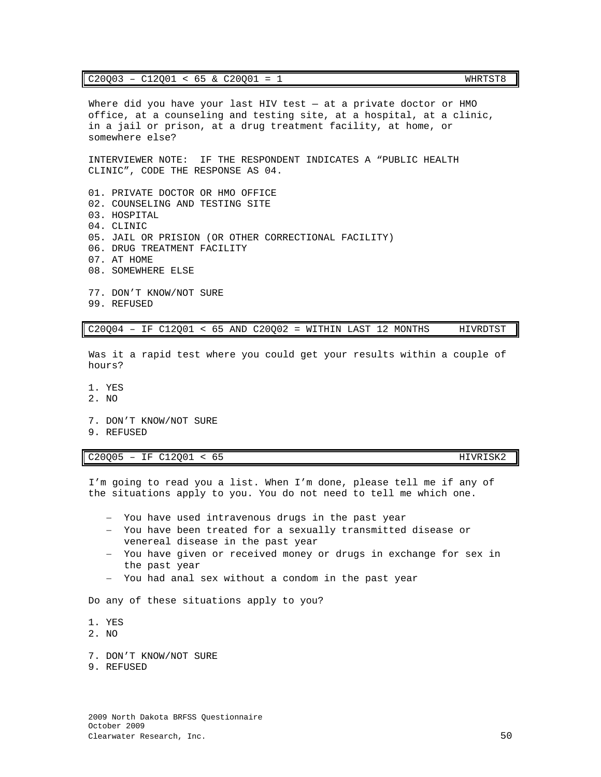Where did you have your last HIV test — at a private doctor or HMO office, at a counseling and testing site, at a hospital, at a clinic, in a jail or prison, at a drug treatment facility, at home, or somewhere else? INTERVIEWER NOTE: IF THE RESPONDENT INDICATES A "PUBLIC HEALTH CLINIC", CODE THE RESPONSE AS 04. 01. PRIVATE DOCTOR OR HMO OFFICE 02. COUNSELING AND TESTING SITE 03. HOSPITAL 04. CLINIC 05. JAIL OR PRISION (OR OTHER CORRECTIONAL FACILITY) 06. DRUG TREATMENT FACILITY 07. AT HOME 08. SOMEWHERE ELSE 77. DON'T KNOW/NOT SURE 99. REFUSED

C20Q04 – IF C12Q01 < 65 AND C20Q02 = WITHIN LAST 12 MONTHS HIVRDTST

Was it a rapid test where you could get your results within a couple of hours?

- 1. YES
- 2. NO
- 7. DON'T KNOW/NOT SURE
- 9. REFUSED

C20Q05 – IF C12Q01 < 65 HIVRISK2

I'm going to read you a list. When I'm done, please tell me if any of the situations apply to you. You do not need to tell me which one.

- − You have used intravenous drugs in the past year
- − You have been treated for a sexually transmitted disease or venereal disease in the past year
- − You have given or received money or drugs in exchange for sex in the past year
- − You had anal sex without a condom in the past year

Do any of these situations apply to you?

- 1. YES
- 2. NO
- 7. DON'T KNOW/NOT SURE
- 9. REFUSED

# C20Q03 – C12Q01 < 65 & C20Q01 = 1 WHRTST8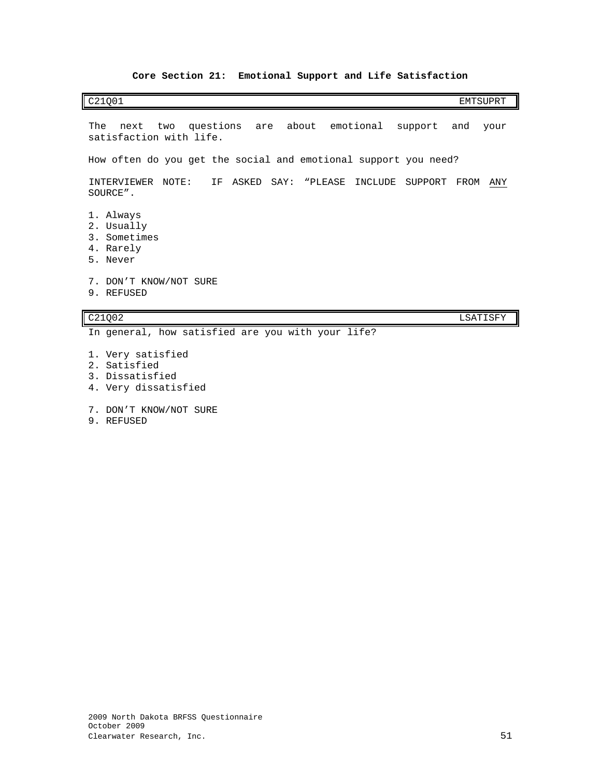### **Core Section 21: Emotional Support and Life Satisfaction**

| C21001<br>EMTSUPRT                                                                        |
|-------------------------------------------------------------------------------------------|
| The next two questions are about emotional support and<br>your<br>satisfaction with life. |
| How often do you get the social and emotional support you need?                           |
| INTERVIEWER NOTE: IF ASKED SAY: "PLEASE INCLUDE SUPPORT FROM ANY<br>SOURCE".              |
| 1. Always<br>2. Usually<br>3. Sometimes<br>4. Rarely<br>5. Never                          |
| 7. DON'T KNOW/NOT SURE<br>9. REFUSED                                                      |

C21Q02 LSATISFY

In general, how satisfied are you with your life?

- 1. Very satisfied
- 2. Satisfied
- 3. Dissatisfied
- 4. Very dissatisfied
- 7. DON'T KNOW/NOT SURE
- 9. REFUSED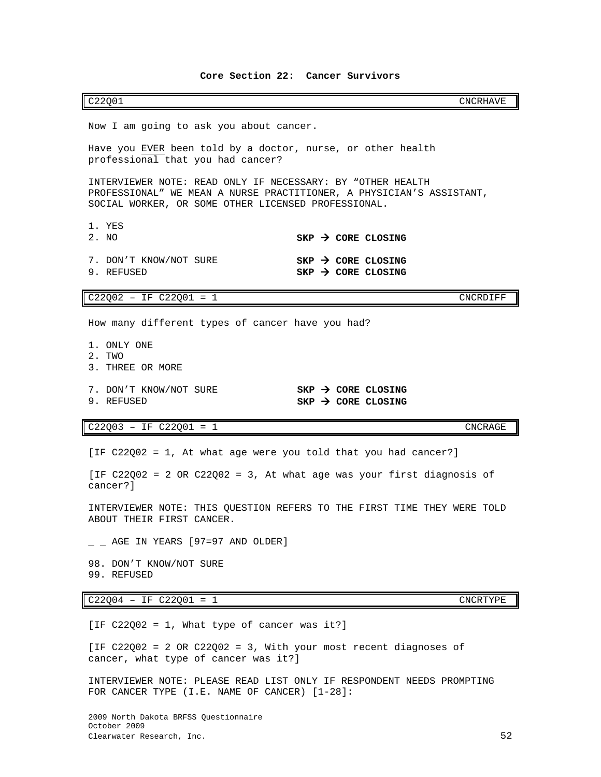| C22Q01                                                                                                                                                                                    | <b>CNCRHAVE</b>                                                            |
|-------------------------------------------------------------------------------------------------------------------------------------------------------------------------------------------|----------------------------------------------------------------------------|
| Now I am going to ask you about cancer.                                                                                                                                                   |                                                                            |
| Have you EVER been told by a doctor, nurse, or other health<br>professional that you had cancer?                                                                                          |                                                                            |
| INTERVIEWER NOTE: READ ONLY IF NECESSARY: BY "OTHER HEALTH<br>PROFESSIONAL" WE MEAN A NURSE PRACTITIONER, A PHYSICIAN'S ASSISTANT,<br>SOCIAL WORKER, OR SOME OTHER LICENSED PROFESSIONAL. |                                                                            |
| 1. YES<br>2. NO                                                                                                                                                                           | $SKP$ $\rightarrow$ CORE CLOSING                                           |
| 7. DON'T KNOW/NOT SURE<br>9. REFUSED                                                                                                                                                      | $SKP$ $\rightarrow$ CORE CLOSING<br>$SKP$ $\rightarrow$ CORE CLOSING       |
| $C22Q02 - IF C22Q01 = 1$                                                                                                                                                                  | CNCRDIFF                                                                   |
| How many different types of cancer have you had?                                                                                                                                          |                                                                            |
| 1. ONLY ONE<br>2. TWO<br>3. THREE OR MORE                                                                                                                                                 |                                                                            |
| 7. DON'T KNOW/NOT SURE<br>9. REFUSED                                                                                                                                                      | $SKP$ $\rightarrow$ CORE CLOSING<br>$SKP$ $\rightarrow$ CORE CLOSING       |
| $C22Q03 - IF C22Q01 = 1$                                                                                                                                                                  | CNCRAGE                                                                    |
| [IF C22Q02 = 1, At what age were you told that you had cancer?]                                                                                                                           |                                                                            |
| cancer?]                                                                                                                                                                                  | [IF $C22Q02 = 2$ OR $C22Q02 = 3$ , At what age was your first diagnosis of |
| ABOUT THEIR FIRST CANCER.                                                                                                                                                                 | INTERVIEWER NOTE: THIS QUESTION REFERS TO THE FIRST TIME THEY WERE TOLD    |
| AGE IN YEARS [97=97 AND OLDER]                                                                                                                                                            |                                                                            |
| 98. DON'T KNOW/NOT SURE<br>99. REFUSED                                                                                                                                                    |                                                                            |
| $C22Q04 - IF C22Q01 = 1$                                                                                                                                                                  | CNCRTYPE                                                                   |
| [IF $C22Q02 = 1$ , What type of cancer was it?]                                                                                                                                           |                                                                            |
| [IF $C22Q02 = 2$ OR $C22Q02 = 3$ , With your most recent diagnoses of<br>cancer, what type of cancer was it?]                                                                             |                                                                            |
| FOR CANCER TYPE (I.E. NAME OF CANCER) [1-28]:                                                                                                                                             | INTERVIEWER NOTE: PLEASE READ LIST ONLY IF RESPONDENT NEEDS PROMPTING      |
| 2009 North Dakota BRFSS Questionnaire                                                                                                                                                     |                                                                            |

October 2009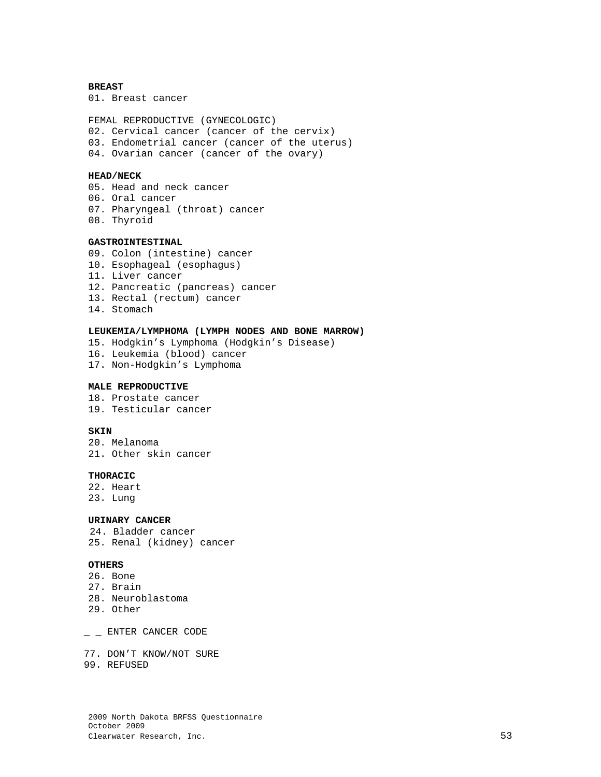#### **BREAST**

01. Breast cancer

FEMAL REPRODUCTIVE (GYNECOLOGIC) 02. Cervical cancer (cancer of the cervix) 03. Endometrial cancer (cancer of the uterus) 04. Ovarian cancer (cancer of the ovary)

#### **HEAD/NECK**

05. Head and neck cancer 06. Oral cancer 07. Pharyngeal (throat) cancer 08. Thyroid

#### **GASTROINTESTINAL**

09. Colon (intestine) cancer 10. Esophageal (esophagus) 11. Liver cancer 12. Pancreatic (pancreas) cancer 13. Rectal (rectum) cancer 14. Stomach

### **LEUKEMIA/LYMPHOMA (LYMPH NODES AND BONE MARROW)**

15. Hodgkin's Lymphoma (Hodgkin's Disease)

- 16. Leukemia (blood) cancer
- 17. Non-Hodgkin's Lymphoma

#### **MALE REPRODUCTIVE**

18. Prostate cancer 19. Testicular cancer

### **SKIN**

20. Melanoma 21. Other skin cancer

#### **THORACIC**

22. Heart 23. Lung

#### **URINARY CANCER**

24. Bladder cancer 25. Renal (kidney) cancer

#### **OTHERS**

- 26. Bone
- 27. Brain
- 28. Neuroblastoma
- 29. Other

 $-$  ENTER CANCER CODE

77. DON'T KNOW/NOT SURE 99. REFUSED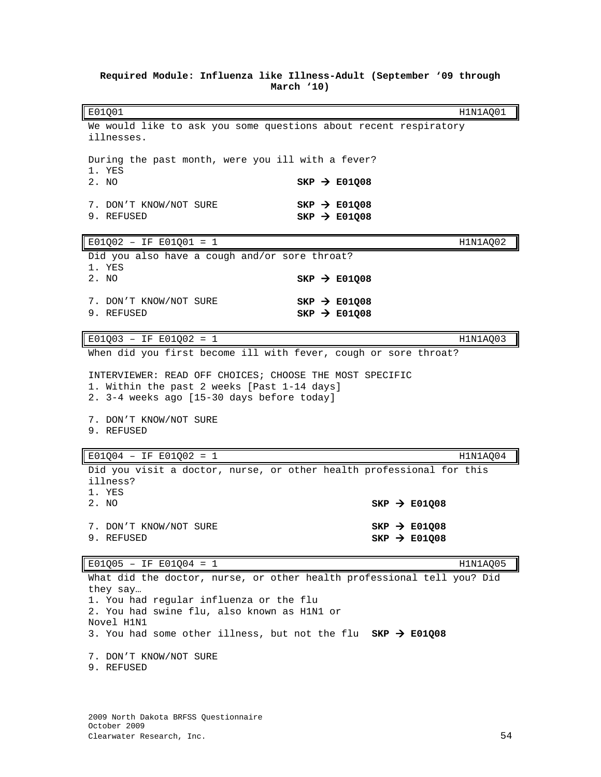# illness?

9. REFUSED **SKP**  $\rightarrow$  **E01Q08** 

### $E01Q05 - IF E01Q04 = 1$  H1N1AQ05

What did the doctor, nurse, or other health professional tell you? Did they say… 1. You had regular influenza or the flu 2. You had swine flu, also known as H1N1 or Novel H1N1 3. You had some other illness, but not the flu **SKP E01Q08** 7. DON'T KNOW/NOT SURE 9. REFUSED

2009 North Dakota BRFSS Questionnaire October 2009 Clearwater Research, Inc. 54

# **Required Module: Influenza like Illness-Adult (September '09 through March '10)**

# E01Q01 H1N1AQ01 We would like to ask you some questions about recent respiratory illnesses. During the past month, were you ill with a fever? 1. YES<br>2. NO  $SKP \rightarrow E01Q08$ 7. DON'T KNOW/NOT SURE **SKP > E01Q08**<br>9. REFUSED **SKP > E01O08**  $SKP \rightarrow E01Q08$  $E01Q02 - IF E01Q01 = 1$  H1N1AQ02 Did you also have a cough and/or sore throat? 1. YES<br>2. NO  $SKP \rightarrow E01Q08$ 7. DON'T KNOW/NOT SURE **SKP > E01Q08**<br>9. REFUSED **SKP > E01O08**  $SKP \rightarrow E01008$  $E01Q03 - IF E01Q02 = 1$  H1N1AQ03 When did you first become ill with fever, cough or sore throat? INTERVIEWER: READ OFF CHOICES; CHOOSE THE MOST SPECIFIC 1. Within the past 2 weeks [Past 1-14 days] 2. 3-4 weeks ago [15-30 days before today] 7. DON'T KNOW/NOT SURE 9. REFUSED  $E01Q04 - IF E01Q02 = 1$  H1N1AQ04 Did you visit a doctor, nurse, or other health professional for this 1. YES<br>2. NO  $SKP \rightarrow E01Q08$ 7. DON'T KNOW/NOT SURE **SKP > E01Q08**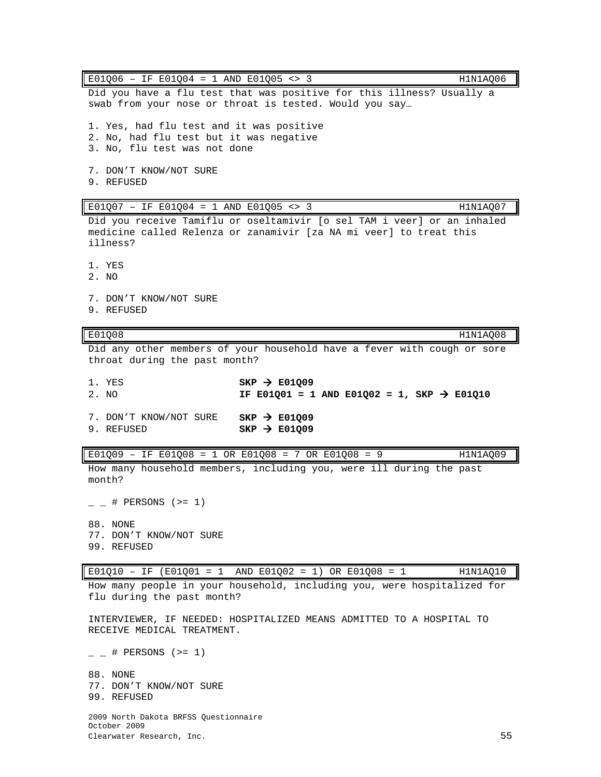2009 North Dakota BRFSS Questionnaire E01Q06 - IF E01Q04 = 1 AND E01Q05 <> 3 H1N1AQ06 Did you have a flu test that was positive for this illness? Usually a swab from your nose or throat is tested. Would you say… 1. Yes, had flu test and it was positive 2. No, had flu test but it was negative 3. No, flu test was not done 7. DON'T KNOW/NOT SURE 9. REFUSED E01Q07 – IF E01Q04 = 1 AND E01Q05 <> 3 H1N1AQ07 Did you receive Tamiflu or oseltamivir [o sel TAM i veer] or an inhaled medicine called Relenza or zanamivir [za NA mi veer] to treat this illness? 1. YES 2. NO 7. DON'T KNOW/NOT SURE 9. REFUSED E01Q08 H1N1AQ08 Did any other members of your household have a fever with cough or sore throat during the past month? 1. YES **SKP > E01Q09**<br>2. NO **IF E01O01 = 1**  $IF E01Q01 = 1 AND E01Q02 = 1, SKP \rightarrow E01Q10$ 7. DON'T KNOW/NOT SURE **SKP > E01Q09**<br>9. REFUSED **SKP > E01O09**  $SKP \rightarrow E01Q09$ E01Q09 – IF E01Q08 = 1 OR E01Q08 = 7 OR E01Q08 = 9 H1N1AQ09 How many household members, including you, were ill during the past month?  $+$  PERSONS (>= 1) 88. NONE 77. DON'T KNOW/NOT SURE 99. REFUSED  $E01Q10 - IF (E01Q01 = 1$  AND  $E01Q02 = 1)$  OR  $E01Q08 = 1$  H1N1AQ10 How many people in your household, including you, were hospitalized for flu during the past month? INTERVIEWER, IF NEEDED: HOSPITALIZED MEANS ADMITTED TO A HOSPITAL TO RECEIVE MEDICAL TREATMENT.  $+$  PERSONS (>= 1) 88. NONE 77. DON'T KNOW/NOT SURE 99. REFUSED

October 2009 Clearwater Research, Inc. 55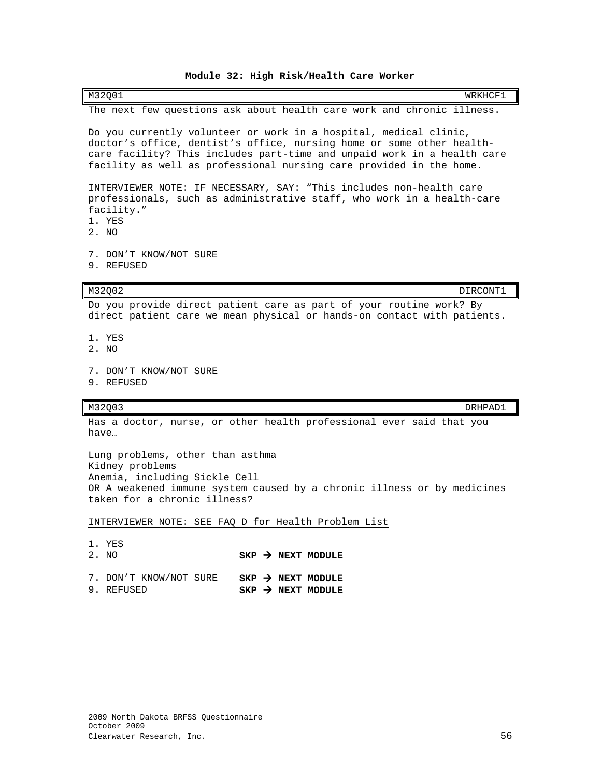### **Module 32: High Risk/Health Care Worker**

| M32001                                                            | WRKHCF1                                                                 |
|-------------------------------------------------------------------|-------------------------------------------------------------------------|
|                                                                   | The next few questions ask about health care work and chronic illness.  |
| Do you currently volunteer or work in a hospital, medical clinic, |                                                                         |
|                                                                   | doctor's office, dentist's office, nursing home or some other health-   |
|                                                                   | care facility? This includes part-time and unpaid work in a health care |
|                                                                   | facility as well as professional nursing care provided in the home.     |
|                                                                   | INTERVIEWER NOTE: IF NECESSARY, SAY: "This includes non-health care     |
|                                                                   | professionals, such as administrative staff, who work in a health-care  |
| facility."                                                        |                                                                         |
| 1. YES                                                            |                                                                         |
| 2. NO                                                             |                                                                         |
| 7. DON'T KNOW/NOT SURE                                            |                                                                         |
| 9. REFUSED                                                        |                                                                         |
|                                                                   |                                                                         |
| M32002                                                            | DIRCONT1                                                                |
|                                                                   | Do you provide direct patient care as part of your routine work? By     |
|                                                                   | direct patient care we mean physical or hands-on contact with patients. |
| 1. YES                                                            |                                                                         |
| 2. NO                                                             |                                                                         |
|                                                                   |                                                                         |
| 7. DON'T KNOW/NOT SURE                                            |                                                                         |
| 9. REFUSED                                                        |                                                                         |
| M32Q03                                                            | DRHPAD1                                                                 |
|                                                                   | Has a doctor, nurse, or other health professional ever said that you    |
| have                                                              |                                                                         |
|                                                                   |                                                                         |
| Lung problems, other than asthma                                  |                                                                         |
| Kidney problems                                                   |                                                                         |
| Anemia, including Sickle Cell                                     |                                                                         |
| taken for a chronic illness?                                      | OR A weakened immune system caused by a chronic illness or by medicines |
|                                                                   |                                                                         |
| INTERVIEWER NOTE: SEE FAQ D for Health Problem List               |                                                                         |
| 1. YES                                                            |                                                                         |
| 2. NO                                                             | $SKP$ $\rightarrow$ NEXT MODULE                                         |
| 7. DON'T KNOW/NOT SURE                                            | $SKP \rightarrow NEXT MODULE$                                           |
| 9. REFUSED                                                        | $\texttt{SKP} \rightarrow \texttt{NEXT}$ module                         |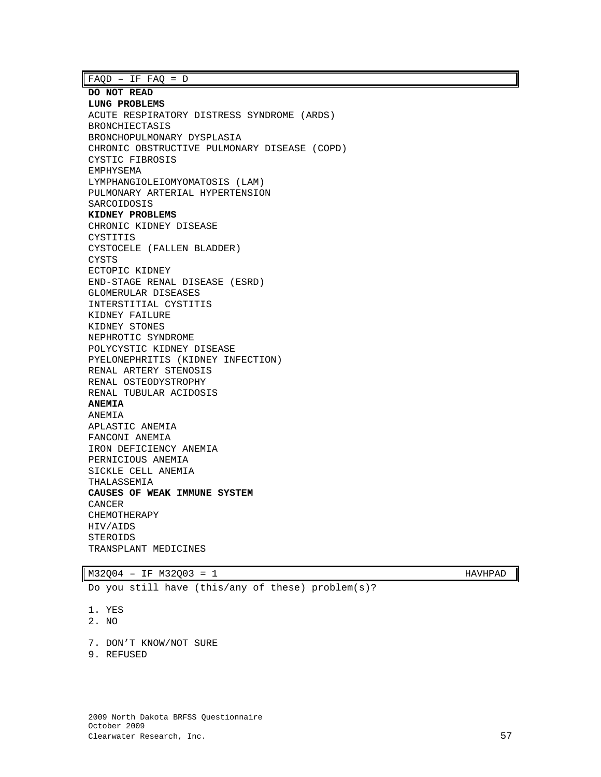$FAOD - IF FAO = D$ 

**DO NOT READ LUNG PROBLEMS** ACUTE RESPIRATORY DISTRESS SYNDROME (ARDS) BRONCHIECTASIS BRONCHOPULMONARY DYSPLASIA CHRONIC OBSTRUCTIVE PULMONARY DISEASE (COPD) CYSTIC FIBROSIS EMPHYSEMA LYMPHANGIOLEIOMYOMATOSIS (LAM) PULMONARY ARTERIAL HYPERTENSION SARCOIDOSIS **KIDNEY PROBLEMS** CHRONIC KIDNEY DISEASE CYSTITIS CYSTOCELE (FALLEN BLADDER) CYSTS ECTOPIC KIDNEY END-STAGE RENAL DISEASE (ESRD) GLOMERULAR DISEASES INTERSTITIAL CYSTITIS KIDNEY FAILURE KIDNEY STONES NEPHROTIC SYNDROME POLYCYSTIC KIDNEY DISEASE PYELONEPHRITIS (KIDNEY INFECTION) RENAL ARTERY STENOSIS RENAL OSTEODYSTROPHY RENAL TUBULAR ACIDOSIS **ANEMIA**  ANEMIA APLASTIC ANEMIA FANCONI ANEMIA IRON DEFICIENCY ANEMIA PERNICIOUS ANEMIA SICKLE CELL ANEMIA THALASSEMIA **CAUSES OF WEAK IMMUNE SYSTEM** CANCER CHEMOTHERAPY HIV/AIDS STEROIDS TRANSPLANT MEDICINES

M32Q04 – IF M32Q03 = 1 HAVHPAD

Do you still have (this/any of these) problem(s)?

1. YES

- 7. DON'T KNOW/NOT SURE
- 9. REFUSED

<sup>2.</sup> NO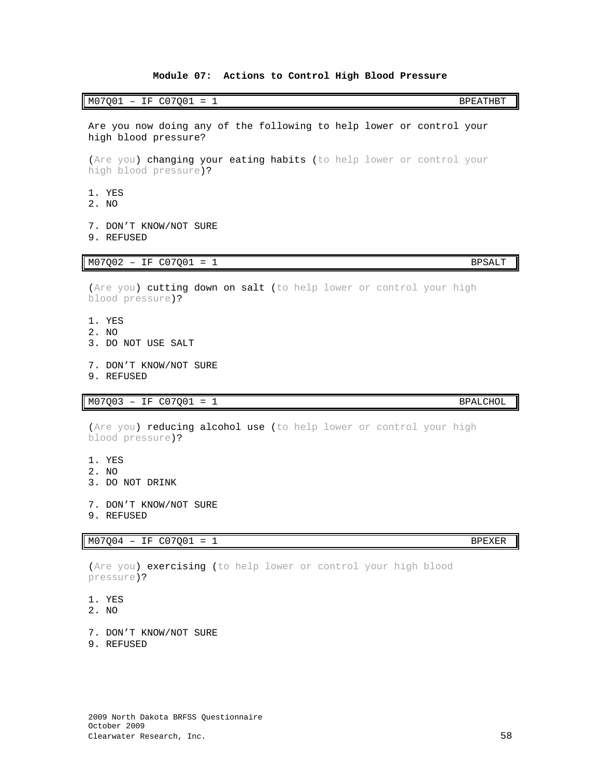### **Module 07: Actions to Control High Blood Pressure**

 $M07Q01 - IF C07Q01 = 1$  BPEATHBT

#### Are you now doing any of the following to help lower or control your high blood pressure?

(Are you) changing your eating habits (to help lower or control your high blood pressure)?

- 1. YES
- 2. NO
- 7. DON'T KNOW/NOT SURE
- 9. REFUSED

M07Q02 - IF C07Q01 = 1 BPSALT

(Are you) cutting down on salt (to help lower or control your high blood pressure)?

- 1. YES
- 2. NO
- 3. DO NOT USE SALT
- 7. DON'T KNOW/NOT SURE
- 9. REFUSED

M07Q03 - IF C07Q01 = 1 BPALCHOL

(Are you) reducing alcohol use (to help lower or control your high blood pressure)?

- 1. YES
- 2. NO
- 3. DO NOT DRINK
- 7. DON'T KNOW/NOT SURE
- 9. REFUSED

M07Q04 - IF C07Q01 = 1

(Are you) exercising (to help lower or control your high blood pressure)?

- 1. YES
- 2. NO
- 7. DON'T KNOW/NOT SURE
- 9. REFUSED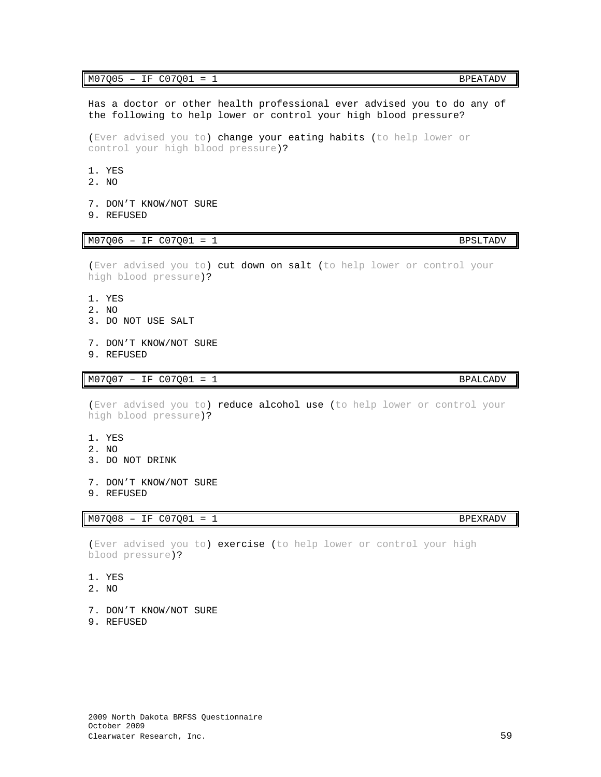Has a doctor or other health professional ever advised you to do any of the following to help lower or control your high blood pressure?

(Ever advised you to) change your eating habits (to help lower or control your high blood pressure)?

- 1. YES
- 2. NO
- 7. DON'T KNOW/NOT SURE
- 9. REFUSED

#### M07Q06 - IF C07Q01 = 1 BPSLTADV

(Ever advised you to) cut down on salt (to help lower or control your high blood pressure)?

- 1. YES
- 2. NO
- 3. DO NOT USE SALT
- 7. DON'T KNOW/NOT SURE 9. REFUSED

 $M07Q07 - IF C07Q01 = 1$  BPALCADV

(Ever advised you to) reduce alcohol use (to help lower or control your high blood pressure)?

- 1. YES
- 2. NO
- 3. DO NOT DRINK
- 7. DON'T KNOW/NOT SURE
- 9. REFUSED

 $M07Q08 - IF C07Q01 = 1$  BPEXRADV

(Ever advised you to) exercise (to help lower or control your high blood pressure)?

- 1. YES
- 2. NO
- 7. DON'T KNOW/NOT SURE
- 9. REFUSED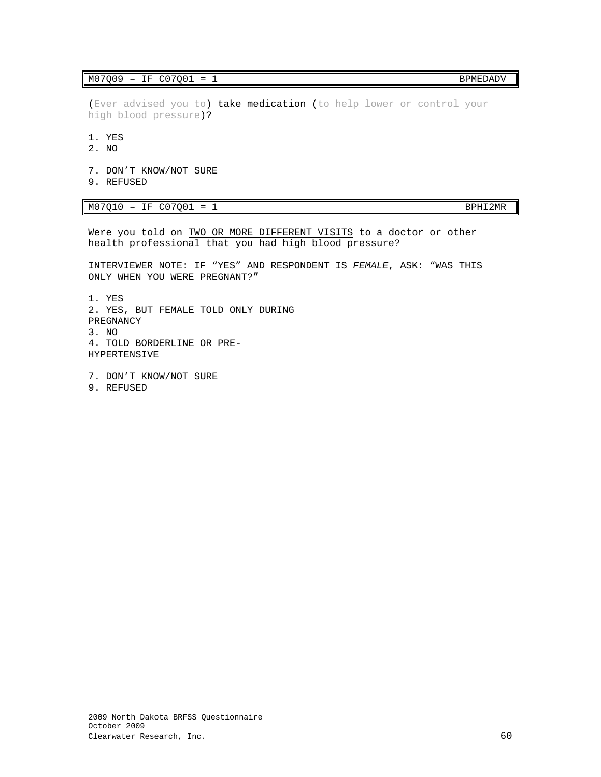### $M07Q09 - IF C07Q01 = 1$  BPMEDADV

(Ever advised you to) take medication (to help lower or control your high blood pressure)?

- 1. YES
- 2. NO
- 7. DON'T KNOW/NOT SURE
- 9. REFUSED

 $M07Q10 - IF C07Q01 = 1$  BPHI2MR

Were you told on TWO OR MORE DIFFERENT VISITS to a doctor or other health professional that you had high blood pressure?

INTERVIEWER NOTE: IF "YES" AND RESPONDENT IS *FEMALE*, ASK: "WAS THIS ONLY WHEN YOU WERE PREGNANT?"

1. YES 2. YES, BUT FEMALE TOLD ONLY DURING PREGNANCY 3. NO 4. TOLD BORDERLINE OR PRE-HYPERTENSIVE

7. DON'T KNOW/NOT SURE 9. REFUSED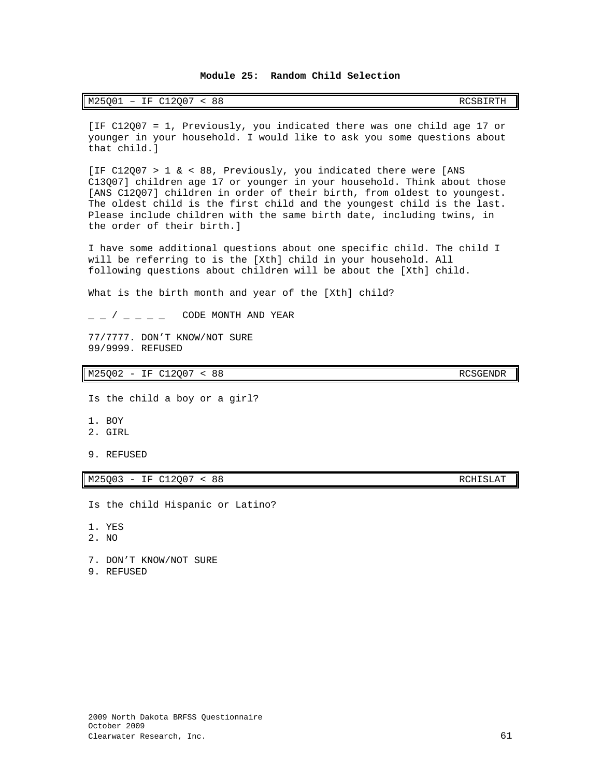#### M25Q01 – IF C12Q07 < 88 RCSBIRTH

[IF C12Q07 = 1, Previously, you indicated there was one child age 17 or younger in your household. I would like to ask you some questions about that child.]

[IF C12Q07 > 1 & < 88, Previously, you indicated there were [ANS C13Q07] children age 17 or younger in your household. Think about those [ANS C12Q07] children in order of their birth, from oldest to youngest. The oldest child is the first child and the youngest child is the last. Please include children with the same birth date, including twins, in the order of their birth.]

I have some additional questions about one specific child. The child I will be referring to is the [Xth] child in your household. All following questions about children will be about the [Xth] child.

What is the birth month and year of the [Xth] child?

 $/$   $-$  CODE MONTH AND YEAR

77/7777. DON'T KNOW/NOT SURE 99/9999. REFUSED

M25Q02 - IF C12Q07 < 88 RCSGENDR

Is the child a boy or a girl?

- 1. BOY
- 2. GIRL

9. REFUSED

M25Q03 - IF C12Q07 < 88 RCHISLAT

Is the child Hispanic or Latino?

- 1. YES
- 2. NO
- 7. DON'T KNOW/NOT SURE
- 9. REFUSED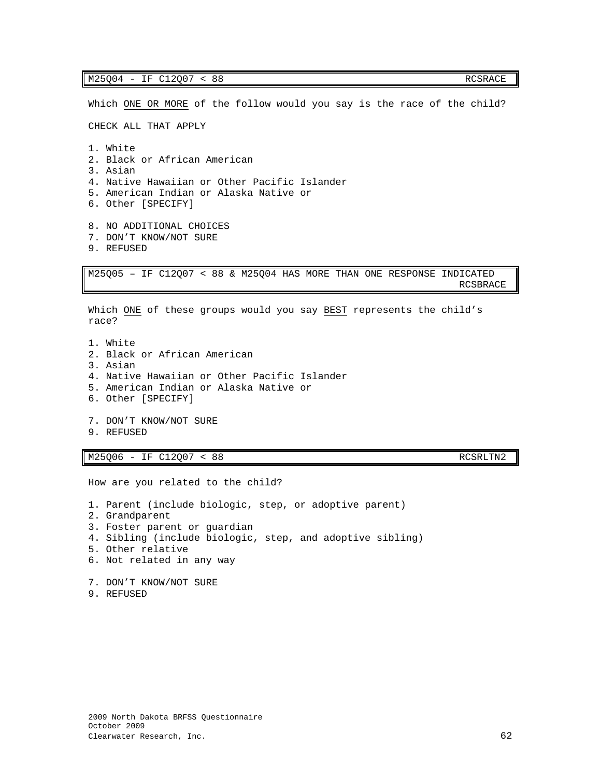M25Q04 - IF C12Q07 < 88 RCSRACE

Which ONE OR MORE of the follow would you say is the race of the child? CHECK ALL THAT APPLY 1. White 2. Black or African American 3. Asian 4. Native Hawaiian or Other Pacific Islander 5. American Indian or Alaska Native or 6. Other [SPECIFY] 8. NO ADDITIONAL CHOICES 7. DON'T KNOW/NOT SURE 9. REFUSED M25Q05 – IF C12Q07 < 88 & M25Q04 HAS MORE THAN ONE RESPONSE INDICATED <u>results and the contract of the contract of the contract of the contract of the contract of the contract of the contract of the contract of the contract of the contract of the contract of the contract of the contract of t</u> Which ONE of these groups would you say BEST represents the child's race? 1. White

- 2. Black or African American 3. Asian 4. Native Hawaiian or Other Pacific Islander 5. American Indian or Alaska Native or 6. Other [SPECIFY] 7. DON'T KNOW/NOT SURE
- 9. REFUSED

M25Q06 - IF C12Q07 < 88 RCSRLTN2

How are you related to the child?

1. Parent (include biologic, step, or adoptive parent) 2. Grandparent 3. Foster parent or guardian 4. Sibling (include biologic, step, and adoptive sibling) 5. Other relative 6. Not related in any way 7. DON'T KNOW/NOT SURE 9. REFUSED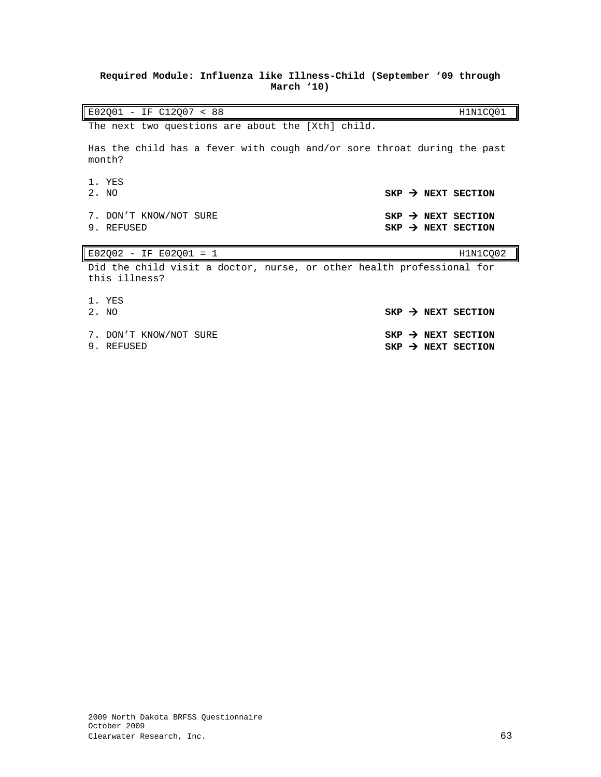### **Required Module: Influenza like Illness-Child (September '09 through March '10)**

| $E02Q01 - IF C12Q07 < 88$                                                              | H1N1CO01                                                             |
|----------------------------------------------------------------------------------------|----------------------------------------------------------------------|
| The next two questions are about the [Xth] child.                                      |                                                                      |
| Has the child has a fever with cough and/or sore throat during the past<br>month?      |                                                                      |
| 1. YES<br>2. NO                                                                        | $SKP$ $\rightarrow$ NEXT SECTION                                     |
| 7. DON'T KNOW/NOT SURE<br>9. REFUSED                                                   | $SKP$ $\rightarrow$ NEXT SECTION<br>$SKP \rightarrow NEXT$ SECTION   |
| $E02Q02 - IF E02Q01 = 1$                                                               | H1N1CO02                                                             |
| Did the child visit a doctor, nurse, or other health professional for<br>this illness? |                                                                      |
| 1. YES<br>2. NO                                                                        | $SKP$ $\rightarrow$ NEXT SECTION                                     |
| 7. DON'T KNOW/NOT SURE<br>9. REFUSED                                                   | $SKP$ $\rightarrow$ NEXT SECTION<br>$SKP$ $\rightarrow$ NEXT SECTION |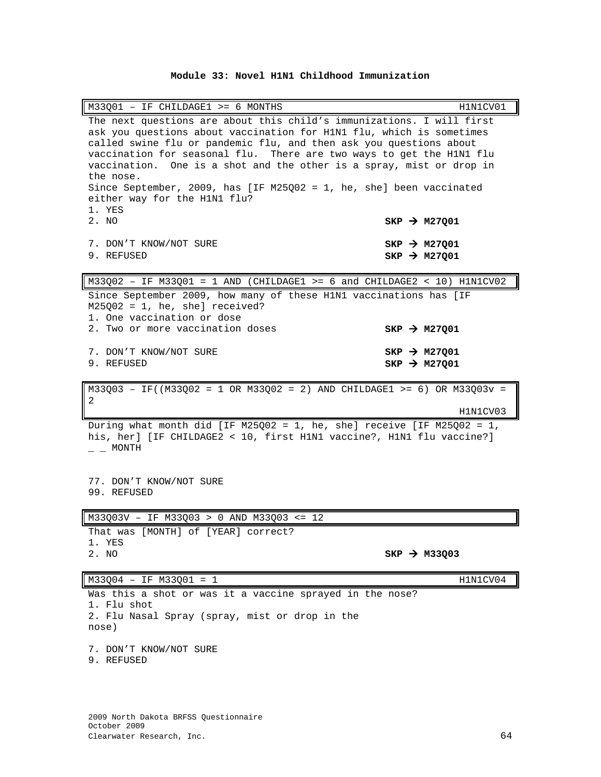| Module 33: Novel H1N1 Childhood Immunization |  |  |  |  |  |  |
|----------------------------------------------|--|--|--|--|--|--|
|----------------------------------------------|--|--|--|--|--|--|

| M33001 - IF CHILDAGE1 >= 6 MONTHS                                                                                                                                                                                                                                                                                                                                                | H1N1CV01                                             |
|----------------------------------------------------------------------------------------------------------------------------------------------------------------------------------------------------------------------------------------------------------------------------------------------------------------------------------------------------------------------------------|------------------------------------------------------|
| The next questions are about this child's immunizations. I will first<br>ask you questions about vaccination for H1N1 flu, which is sometimes<br>called swine flu or pandemic flu, and then ask you questions about<br>vaccination for seasonal flu. There are two ways to get the H1N1 flu<br>vaccination. One is a shot and the other is a spray, mist or drop in<br>the nose. |                                                      |
| Since September, 2009, has $[IF M25Q02 = 1, he, she]$ been vaccinated<br>either way for the H1N1 flu?<br>1. YES                                                                                                                                                                                                                                                                  |                                                      |
| 2. NO                                                                                                                                                                                                                                                                                                                                                                            | SKP $\rightarrow$ M27Q01                             |
| 7. DON'T KNOW/NOT SURE<br>9. REFUSED                                                                                                                                                                                                                                                                                                                                             | $SKP \rightarrow M27Q01$<br>SKP $\rightarrow$ M27Q01 |
| $M33Q02$ - IF $M33Q01$ = 1 AND (CHILDAGE1 >= 6 and CHILDAGE2 < 10) H1N1CV02                                                                                                                                                                                                                                                                                                      |                                                      |
| Since September 2009, how many of these H1N1 vaccinations has [IF<br>$M25002 = 1$ , he, she] received?<br>1. One vaccination or dose                                                                                                                                                                                                                                             |                                                      |
| 2. Two or more vaccination doses                                                                                                                                                                                                                                                                                                                                                 | SKP $\rightarrow$ M27Q01                             |
| 7. DON'T KNOW/NOT SURE<br>9. REFUSED                                                                                                                                                                                                                                                                                                                                             | $SKP \rightarrow M27Q01$<br>$SKP \rightarrow M27Q01$ |
| $M33Q03 - IF((M33Q02 = 1 \text{ OR } M33Q02 = 2)$ AND CHILDAGE1 >= 6) OR $M33Q03v =$<br>2                                                                                                                                                                                                                                                                                        | H1N1CV03                                             |
| During what month did [IF M25Q02 = 1, he, she] receive [IF M25Q02 = 1,<br>his, her] [IF CHILDAGE2 < 10, first H1N1 vaccine?, H1N1 flu vaccine?]<br>MONTH                                                                                                                                                                                                                         |                                                      |
| 77. DON'T KNOW/NOT SURE<br>99. REFUSED                                                                                                                                                                                                                                                                                                                                           |                                                      |
| M33Q03V - IF M33Q03 > 0 AND M33Q03 <= 12                                                                                                                                                                                                                                                                                                                                         |                                                      |
| That was [MONTH] of [YEAR] correct?<br>1. YES                                                                                                                                                                                                                                                                                                                                    |                                                      |
| 2. NO                                                                                                                                                                                                                                                                                                                                                                            | $SKP$ $\rightarrow$ M33Q03                           |
| M33Q04 - IF M33Q01 = 1                                                                                                                                                                                                                                                                                                                                                           | H1N1CV04                                             |
| Was this a shot or was it a vaccine sprayed in the nose?<br>1. Flu shot<br>2. Flu Nasal Spray (spray, mist or drop in the<br>nose)                                                                                                                                                                                                                                               |                                                      |
| 7. DON'T KNOW/NOT SURE<br>9. REFUSED                                                                                                                                                                                                                                                                                                                                             |                                                      |
|                                                                                                                                                                                                                                                                                                                                                                                  |                                                      |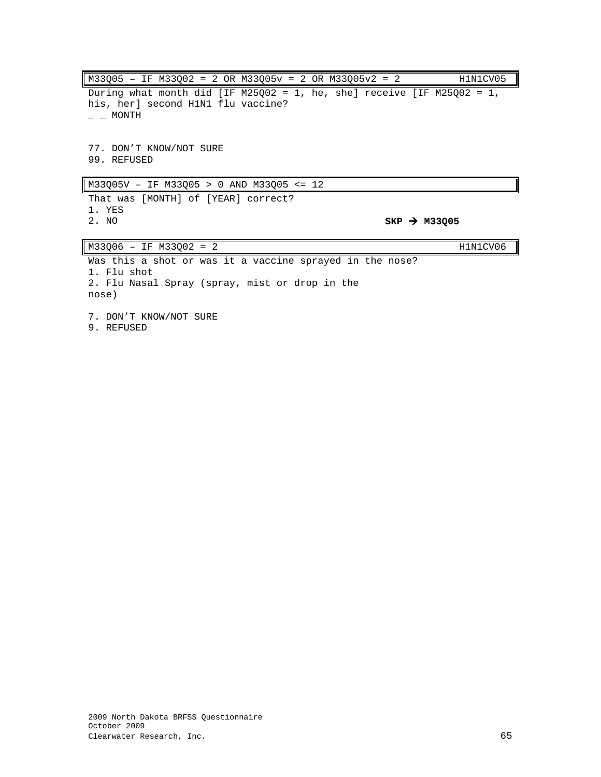$M33Q05 - IF M33Q02 = 2 OR M33Q05v = 2 OR M33Q05v2 = 2$  H1N1CV05 During what month did [IF M25Q02 = 1, he, she] receive [IF M25Q02 = 1, his, her] second H1N1 flu vaccine?  $=$   $-$  MONTH 77. DON'T KNOW/NOT SURE 99. REFUSED M33Q05V – IF M33Q05 > 0 AND M33Q05 <= 12 That was [MONTH] of [YEAR] correct? 1. YES<br>2. NO 2. NO **SKP M33Q05** M33Q06 – IF M33Q02 = 2 H1N1CV06 Was this a shot or was it a vaccine sprayed in the nose? 1. Flu shot 2. Flu Nasal Spray (spray, mist or drop in the nose)

7. DON'T KNOW/NOT SURE 9. REFUSED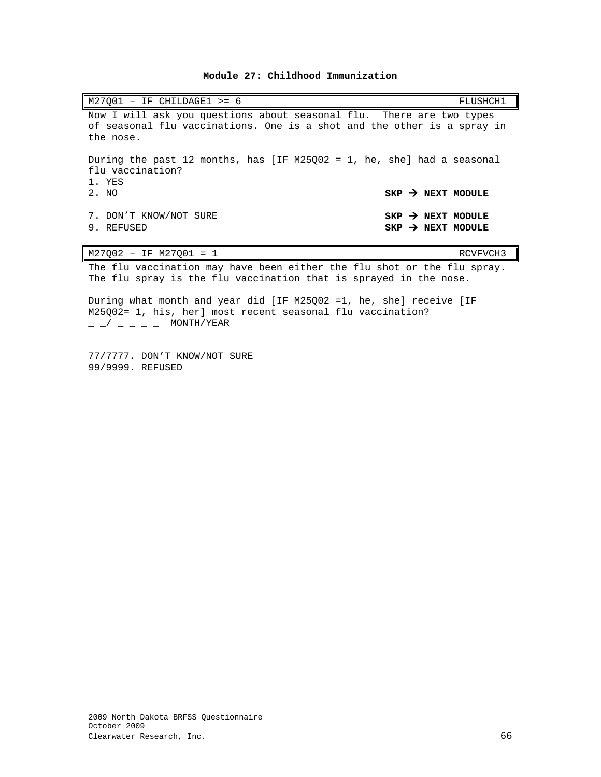### **Module 27: Childhood Immunization**

| $M27001$ - IF CHILDAGE1 >= 6                                                                                                                                 | FLUSHCH1                                                           |
|--------------------------------------------------------------------------------------------------------------------------------------------------------------|--------------------------------------------------------------------|
| Now I will ask you questions about seasonal flu. There are two types<br>of seasonal flu vaccinations. One is a shot and the other is a spray in<br>the nose. |                                                                    |
| During the past 12 months, has [IF M25002 = 1, he, she] had a seasonal<br>flu vaccination?<br>1. YES<br>2. NO                                                | $SKP$ $\rightarrow$ NEXT MODULE                                    |
| 7. DON'T KNOW/NOT SURE<br>9. REFUSED                                                                                                                         | $SKP$ $\rightarrow$ NEXT MODULE<br>$SKP$ $\rightarrow$ NEXT MODULE |
| M27002 - IF M27001 = 1                                                                                                                                       | RCVFVCH3                                                           |

The flu vaccination may have been either the flu shot or the flu spray. The flu spray is the flu vaccination that is sprayed in the nose.

During what month and year did [IF M25Q02 =1, he, she] receive [IF M25Q02= 1, his, her] most recent seasonal flu vaccination?  $/$   $-$  MONTH/YEAR

77/7777. DON'T KNOW/NOT SURE 99/9999. REFUSED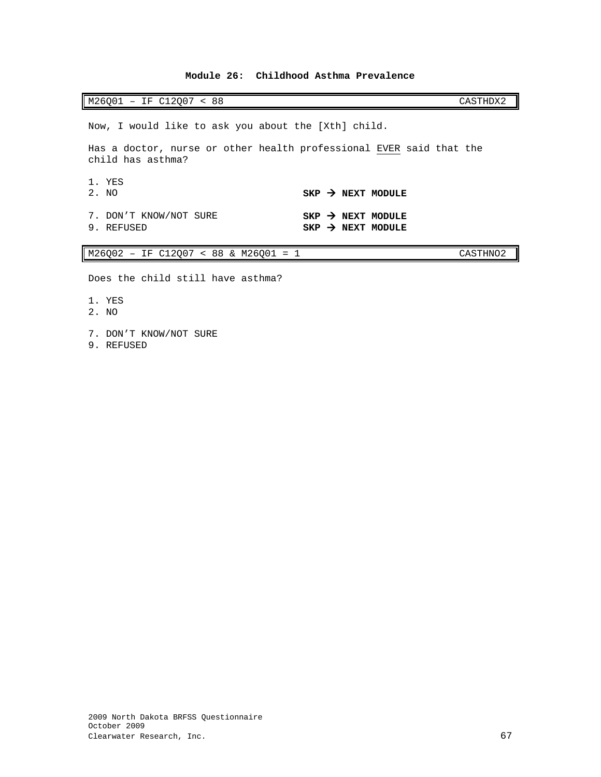### **Module 26: Childhood Asthma Prevalence**

#### M26Q01 - IF C12Q07 < 88 CASTHDX2

Now, I would like to ask you about the [Xth] child.

Has a doctor, nurse or other health professional EVER said that the child has asthma?

1. YES<br>2. NO  $SKP \rightarrow NEXT MODULE$ 7. DON'T KNOW/NOT SURE **SKP → NEXT MODULE**<br>
9. REFUSED **SKP → NEXT MODULE**  $SKP \rightarrow NEXT MODULE$ 

M26Q02 – IF C12Q07 < 88 & M26Q01 = 1 CASTHNO2

Does the child still have asthma?

- 1. YES
- 2. NO
- 7. DON'T KNOW/NOT SURE
- 9. REFUSED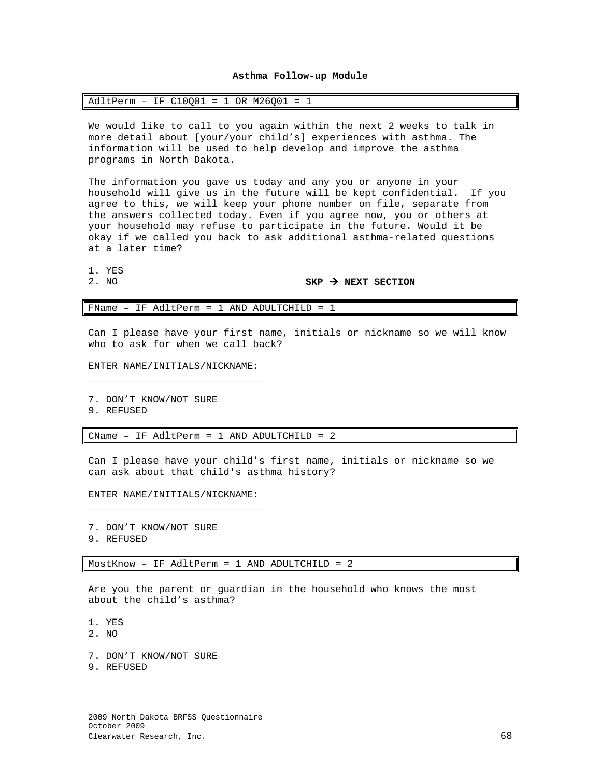#### **Asthma Follow-up Module**

| $AdltPerm - IF C10Q01 = 1 OR M26Q01 = 1$ |  |
|------------------------------------------|--|
|------------------------------------------|--|

We would like to call to you again within the next 2 weeks to talk in more detail about [your/your child's] experiences with asthma. The information will be used to help develop and improve the asthma programs in North Dakota.

The information you gave us today and any you or anyone in your<br>household will give us in the future will be kept confidential. If you household will give us in the future will be kept confidential. agree to this, we will keep your phone number on file, separate from the answers collected today. Even if you agree now, you or others at your household may refuse to participate in the future. Would it be okay if we called you back to ask additional asthma-related questions at a later time?

1. YES<br>2. NO

#### $SKP \rightarrow NEXT$  SECTION

FName – IF AdltPerm = 1 AND ADULTCHILD = 1

Can I please have your first name, initials or nickname so we will know who to ask for when we call back?

ENTER NAME/INITIALS/NICKNAME: \_\_\_\_\_\_\_\_\_\_\_\_\_\_\_\_\_\_\_\_\_\_\_\_\_\_\_\_\_\_

7. DON'T KNOW/NOT SURE

9. REFUSED

CName – IF AdltPerm = 1 AND ADULTCHILD = 2

Can I please have your child's first name, initials or nickname so we can ask about that child's asthma history?

ENTER NAME/INITIALS/NICKNAME: \_\_\_\_\_\_\_\_\_\_\_\_\_\_\_\_\_\_\_\_\_\_\_\_\_\_\_\_\_\_

7. DON'T KNOW/NOT SURE

9. REFUSED

MostKnow – IF AdltPerm = 1 AND ADULTCHILD = 2

Are you the parent or guardian in the household who knows the most about the child's asthma?

1. YES

2. NO

7. DON'T KNOW/NOT SURE

9. REFUSED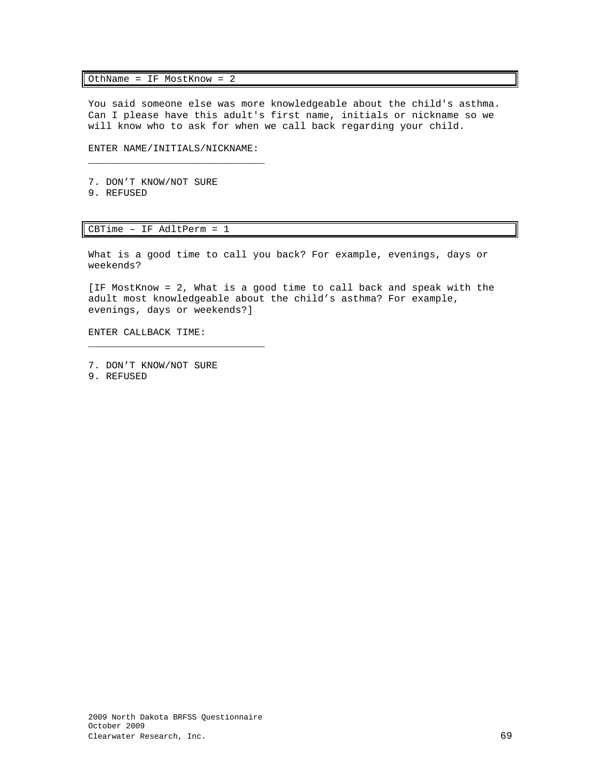#### OthName = IF MostKnow = 2

You said someone else was more knowledgeable about the child's asthma. Can I please have this adult's first name, initials or nickname so we will know who to ask for when we call back regarding your child.

### ENTER NAME/INITIALS/NICKNAME: \_\_\_\_\_\_\_\_\_\_\_\_\_\_\_\_\_\_\_\_\_\_\_\_\_\_\_\_\_\_

7. DON'T KNOW/NOT SURE

9. REFUSED

#### CBTime – IF AdltPerm = 1

What is a good time to call you back? For example, evenings, days or weekends?

[IF MostKnow = 2, What is a good time to call back and speak with the adult most knowledgeable about the child's asthma? For example, evenings, days or weekends?]

ENTER CALLBACK TIME:

7. DON'T KNOW/NOT SURE 9. REFUSED

\_\_\_\_\_\_\_\_\_\_\_\_\_\_\_\_\_\_\_\_\_\_\_\_\_\_\_\_\_\_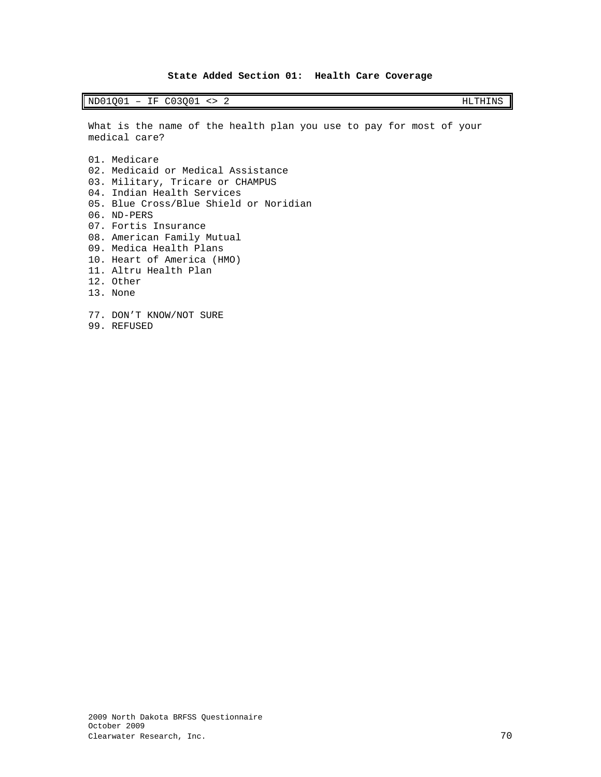ND01Q01 - IF C03Q01 <> 2 HLTHINS

What is the name of the health plan you use to pay for most of your medical care?

01. Medicare 02. Medicaid or Medical Assistance 03. Military, Tricare or CHAMPUS 04. Indian Health Services 05. Blue Cross/Blue Shield or Noridian 06. ND-PERS 07. Fortis Insurance 08. American Family Mutual 09. Medica Health Plans 10. Heart of America (HMO) 11. Altru Health Plan 12. Other 13. None 77. DON'T KNOW/NOT SURE

99. REFUSED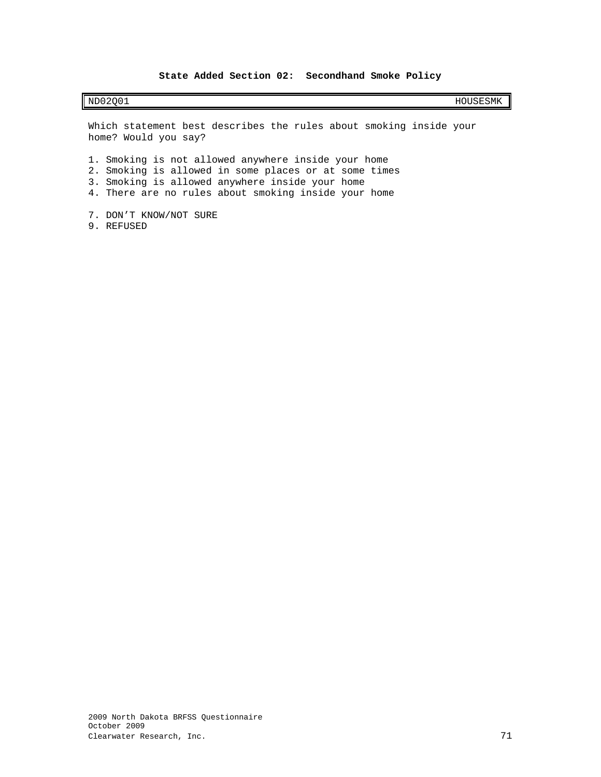# **State Added Section 02: Secondhand Smoke Policy**

### ND02Q01 HOUSESMK

Which statement best describes the rules about smoking inside your home? Would you say?

1. Smoking is not allowed anywhere inside your home

2. Smoking is allowed in some places or at some times

- 3. Smoking is allowed anywhere inside your home
- 4. There are no rules about smoking inside your home
- 7. DON'T KNOW/NOT SURE 9. REFUSED
-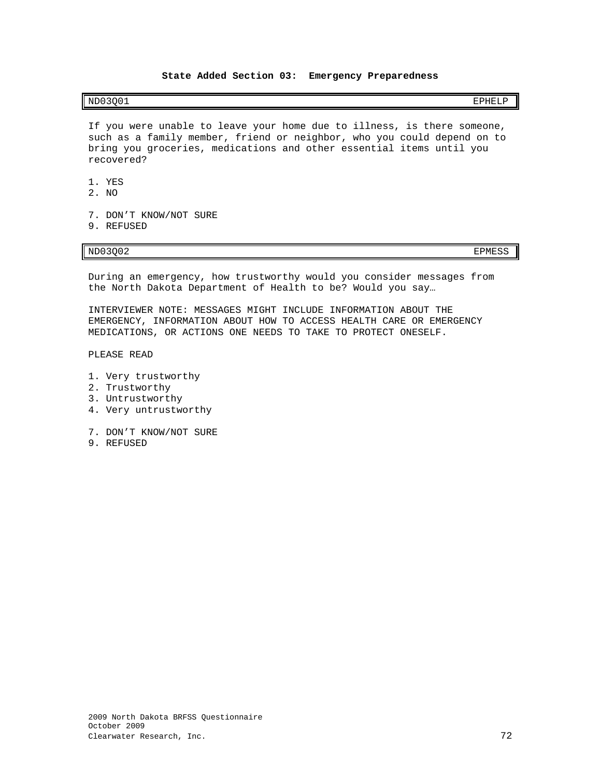### **State Added Section 03: Emergency Preparedness**

### ND03Q01 EPHELP

If you were unable to leave your home due to illness, is there someone, such as a family member, friend or neighbor, who you could depend on to bring you groceries, medications and other essential items until you recovered?

- 1. YES
- 2. NO
- 7. DON'T KNOW/NOT SURE
- 9. REFUSED

## ND03Q02 EPMESS

During an emergency, how trustworthy would you consider messages from the North Dakota Department of Health to be? Would you say…

INTERVIEWER NOTE: MESSAGES MIGHT INCLUDE INFORMATION ABOUT THE EMERGENCY, INFORMATION ABOUT HOW TO ACCESS HEALTH CARE OR EMERGENCY MEDICATIONS, OR ACTIONS ONE NEEDS TO TAKE TO PROTECT ONESELF.

PLEASE READ

- 1. Very trustworthy
- 2. Trustworthy
- 3. Untrustworthy
- 4. Very untrustworthy
- 7. DON'T KNOW/NOT SURE
- 9. REFUSED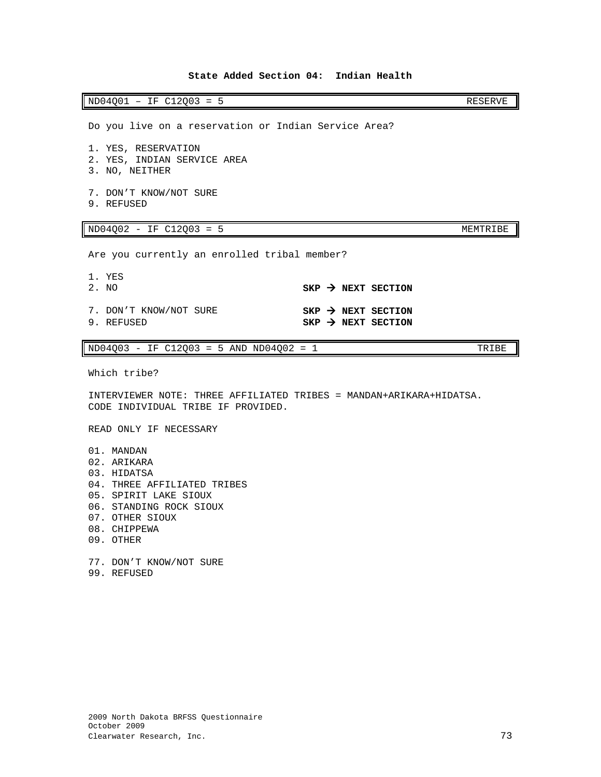# **State Added Section 04: Indian Health**

#### ND04Q01 – IF C12Q03 = 5 RESERVE

Do you live on a reservation or Indian Service Area?

- 1. YES, RESERVATION
- 2. YES, INDIAN SERVICE AREA
- 3. NO, NEITHER
- 7. DON'T KNOW/NOT SURE
- 9. REFUSED

 $ND04Q02 - IF C12Q03 = 5$  MEMTRIBE

Are you currently an enrolled tribal member?

- 1. YES<br>2. NO
- 
- 7. DON'T KNOW/NOT SURE **SKP > NEXT SECTION**<br>9. REFUSED **SKP > NEXT SECTION**
- $ND04Q03 IF C12Q03 = 5 AND ND04Q02 = 1$  TRIBE

Which tribe?

INTERVIEWER NOTE: THREE AFFILIATED TRIBES = MANDAN+ARIKARA+HIDATSA. CODE INDIVIDUAL TRIBE IF PROVIDED.

 $SKP \rightarrow NEXT$  SECTION

 $SKP \rightarrow NEXT$  SECTION

READ ONLY IF NECESSARY

- 01. MANDAN
- 02. ARIKARA
- 03. HIDATSA
- 04. THREE AFFILIATED TRIBES
- 05. SPIRIT LAKE SIOUX
- 06. STANDING ROCK SIOUX
- 07. OTHER SIOUX
- 08. CHIPPEWA
- 09. OTHER
- 77. DON'T KNOW/NOT SURE
- 99. REFUSED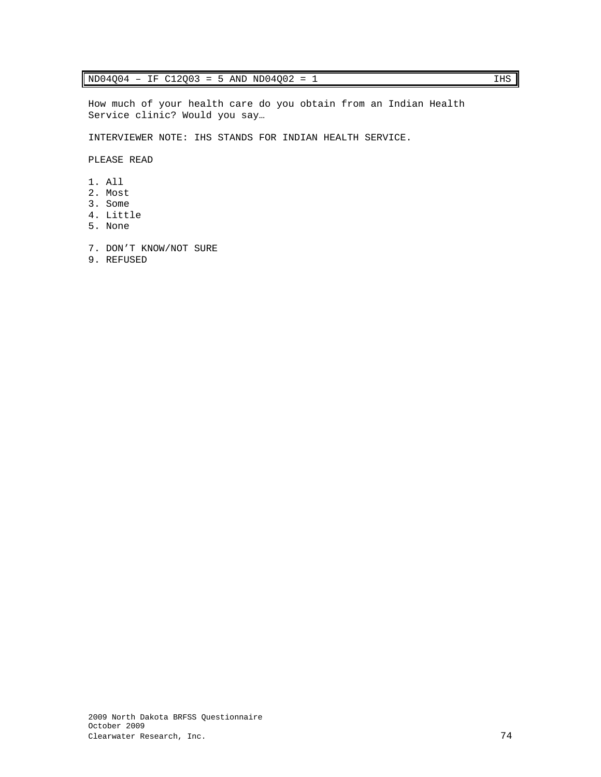## $ND04Q04 - IF C12Q03 = 5 AND ND04Q02 = 1$  IHS

How much of your health care do you obtain from an Indian Health Service clinic? Would you say…

INTERVIEWER NOTE: IHS STANDS FOR INDIAN HEALTH SERVICE.

PLEASE READ

- 1. All
- 2. Most
- 3. Some
- 4. Little
- 5. None
- 7. DON'T KNOW/NOT SURE
- 9. REFUSED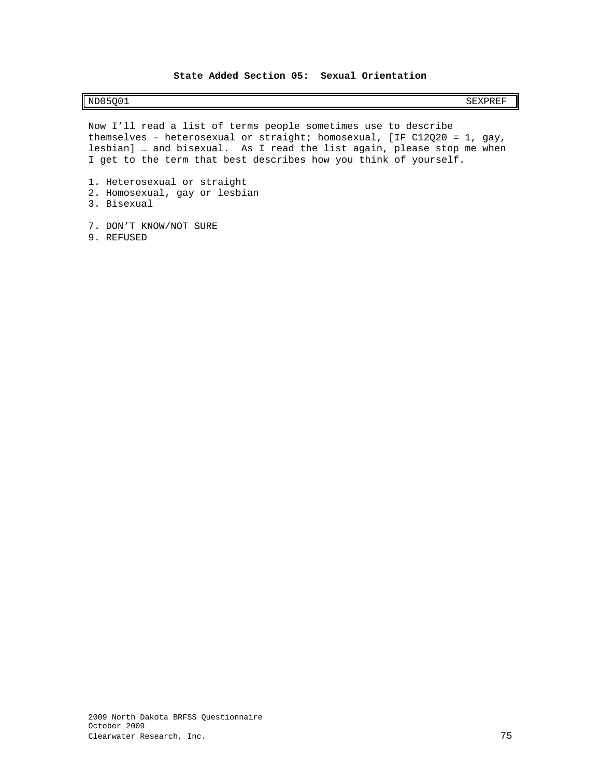# **State Added Section 05: Sexual Orientation**

### $NDO5Q01$  SEXPREF

Now I'll read a list of terms people sometimes use to describe themselves – heterosexual or straight; homosexual, [IF C12Q20 = 1, gay, lesbian] … and bisexual. As I read the list again, please stop me when I get to the term that best describes how you think of yourself.

- 1. Heterosexual or straight 2. Homosexual, gay or lesbian
- 3. Bisexual
- 7. DON'T KNOW/NOT SURE 9. REFUSED